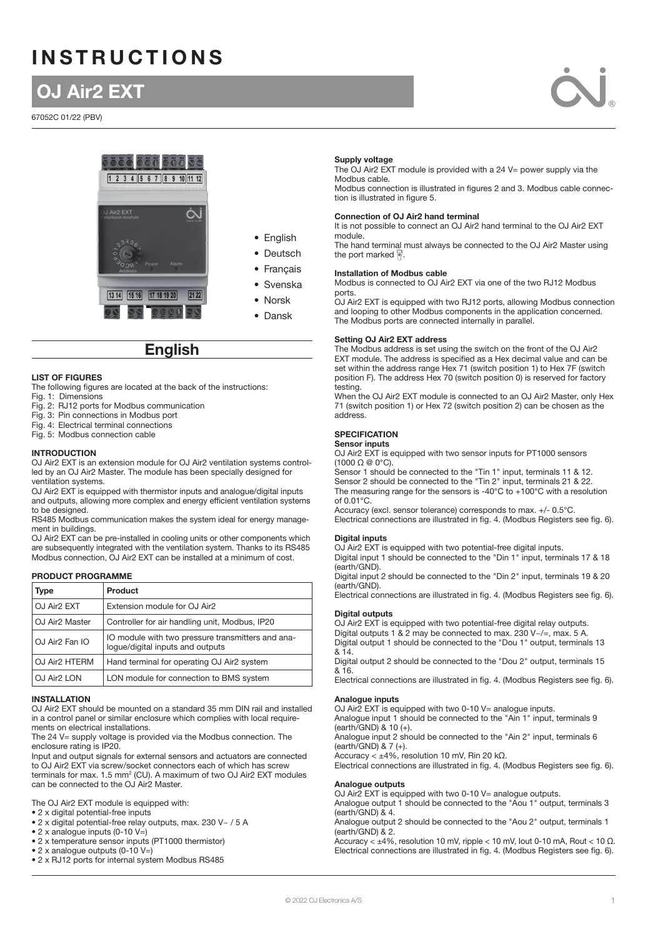# **INSTRUCTIONS**

# OJ Air2 EXT

67052C 01/22 (PBV)





# **English**

#### LIST OF FIGURES

The following figures are located at the back of the instructions:

- Fig. 1: Dimensions
- Fig. 2: RJ12 ports for Modbus communication Fig. 3: Pin connections in Modbus port
- Fig. 4: Electrical terminal connections

Fig. 5: Modbus connection cable

#### INTRODUCTION

OJ Air2 EXT is an extension module for OJ Air2 ventilation systems controlled by an OJ Air2 Master. The module has been specially designed for ventilation systems.

OJ Air2 EXT is equipped with thermistor inputs and analogue/digital inputs and outputs, allowing more complex and energy efficient ventilation systems to be designed.

RS485 Modbus communication makes the system ideal for energy management in buildings.

OJ Air2 EXT can be pre-installed in cooling units or other components which are subsequently integrated with the ventilation system. Thanks to its RS485 Modbus connection, OJ Air2 EXT can be installed at a minimum of cost.

# PRODUCT PROGRAMME

| Type                       | <b>Product</b>                                                                        |  |
|----------------------------|---------------------------------------------------------------------------------------|--|
| OJ Air <sub>2</sub> EXT    | Extension module for OJ Air2                                                          |  |
| OJ Air <sub>2</sub> Master | Controller for air handling unit, Modbus, IP20                                        |  |
| OJ Air <sub>2</sub> Fan IO | 10 module with two pressure transmitters and ana-<br>loque/digital inputs and outputs |  |
| OJ Air <sub>2</sub> HTERM  | Hand terminal for operating OJ Air2 system                                            |  |
| OJ Air <sub>2</sub> LON    | LON module for connection to BMS system                                               |  |

#### INSTALLATION

OJ Air2 EXT should be mounted on a standard 35 mm DIN rail and installed in a control panel or similar enclosure which complies with local requirements on electrical installations.

The 24 V= supply voltage is provided via the Modbus connection. The enclosure rating is IP20.

Input and output signals for external sensors and actuators are connected to OJ Air2 EXT via screw/socket connectors each of which has screw terminals for max. 1.5 mm<sup>2</sup> (CU). A maximum of two OJ Air2 EXT modules can be connected to the OJ Air2 Master.

The OJ Air2 EXT module is equipped with:

- 2 x digital potential-free inputs
- 2 x digital potential-free relay outputs, max. 230 V~ / 5 A
- 2 x analogue inputs (0-10 V=)
- 2 x temperature sensor inputs (PT1000 thermistor)
- 2 x analogue outputs (0-10 V=)
- 2 x RJ12 ports for internal system Modbus RS485

#### Supply voltage

The OJ Air2 EXT module is provided with a 24 V= power supply via the Modbus cable.

Modbus connection is illustrated in figures 2 and 3. Modbus cable connection is illustrated in figure 5.

#### Connection of OJ Air2 hand terminal

It is not possible to connect an OJ Air2 hand terminal to the OJ Air2 EXT module.

The hand terminal must always be connected to the OJ Air2 Master using the port marked  $\sqrt{ }$ 

### Installation of Modbus cable

Modbus is connected to OJ Air2 EXT via one of the two RJ12 Modbus ports.

OJ Air2 EXT is equipped with two RJ12 ports, allowing Modbus connection and looping to other Modbus components in the application concerned. The Modbus ports are connected internally in parallel.

#### Setting OJ Air2 EXT address

The Modbus address is set using the switch on the front of the OJ Air2 EXT module. The address is specified as a Hex decimal value and can be set within the address range Hex 71 (switch position 1) to Hex 7F (switch position F). The address Hex 70 (switch position 0) is reserved for factory testing.

When the OJ Air2 EXT module is connected to an OJ Air2 Master, only Hex 71 (switch position 1) or Hex 72 (switch position 2) can be chosen as the address.

# **SPECIFICATION**

#### Sensor inputs

OJ Air2 EXT is equipped with two sensor inputs for PT1000 sensors (1000 Ω @ 0°C).

Sensor 1 should be connected to the "Tin 1" input, terminals 11 & 12. Sensor 2 should be connected to the "Tin 2" input, terminals 21 & 22. The measuring range for the sensors is -40°C to +100°C with a resolution of 0.01°C.

Accuracy (excl. sensor tolerance) corresponds to max. +/- 0.5°C.

Electrical connections are illustrated in fig. 4. (Modbus Registers see fig. 6).

# Digital inputs

OJ Air2 EXT is equipped with two potential-free digital inputs. Digital input 1 should be connected to the "Din 1" input, terminals 17 & 18 (earth/GND).

Digital input 2 should be connected to the "Din 2" input, terminals 19 & 20

(earth/GND). Electrical connections are illustrated in fig. 4. (Modbus Registers see fig. 6).

#### Digital outputs

OJ Air2 EXT is equipped with two potential-free digital relay outputs. Digital outputs 1 & 2 may be connected to max. 230 V~/=, max. 5 A. Digital output 1 should be connected to the "Dou 1" output, terminals 13

& 14. Digital output 2 should be connected to the "Dou 2" output, terminals 15

& 16. Electrical connections are illustrated in fig. 4. (Modbus Registers see fig. 6).

#### Analogue inputs

#### OJ Air2 EXT is equipped with two 0-10 V= analogue inputs. Analogue input 1 should be connected to the "Ain 1" input, terminals 9

(earth/GND) & 10 (+). Analogue input 2 should be connected to the "Ain 2" input, terminals 6

(earth/GND) & 7 (+).

Accuracy < ±4%, resolution 10 mV, Rin 20 kΩ.

Electrical connections are illustrated in fig. 4. (Modbus Registers see fig. 6).

#### Analogue outputs

OJ Air2 EXT is equipped with two 0-10 V= analogue outputs.

Analogue output 1 should be connected to the "Aou 1" output, terminals 3 (earth/GND) & 4.

Analogue output 2 should be connected to the "Aou 2" output, terminals 1 (earth/GND) & 2.

Accuracy  $< \pm 4\%$ , resolution 10 mV, ripple  $< 10$  mV, lout 0-10 mA. Rout  $< 10 \Omega$ . Electrical connections are illustrated in fig. 4. (Modbus Registers see fig. 6).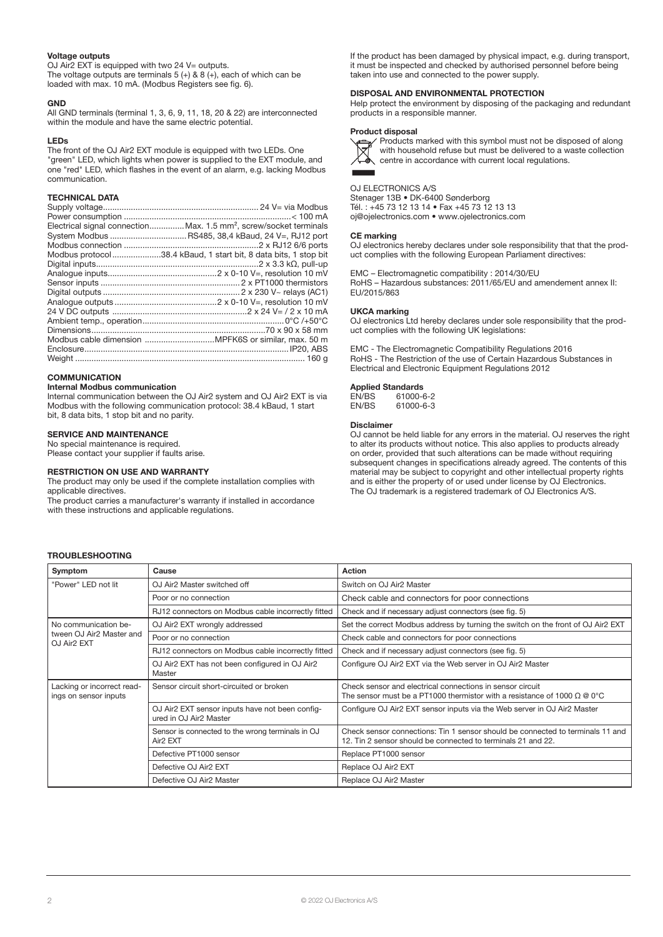#### Voltage outputs

OJ Air2 EXT is equipped with two 24 V= outputs. The voltage outputs are terminals  $5 (+) 8 8 (+)$ , each of which can be loaded with max. 10 mA. (Modbus Registers see fig. 6).

#### **GND**

All GND terminals (terminal 1, 3, 6, 9, 11, 18, 20 & 22) are interconnected within the module and have the same electric potential.

#### LEDs

The front of the OJ Air2 EXT module is equipped with two LEDs. One "green" LED, which lights when power is supplied to the EXT module, and one "red" LED, which flashes in the event of an alarm, e.g. lacking Modbus communication.

# TECHNICAL DATA

| Electrical signal connectionMax. 1.5 mm <sup>2</sup> , screw/socket terminals |
|-------------------------------------------------------------------------------|
|                                                                               |
|                                                                               |
| Modbus protocol38.4 kBaud, 1 start bit, 8 data bits, 1 stop bit               |
|                                                                               |
|                                                                               |
|                                                                               |
|                                                                               |
|                                                                               |
|                                                                               |
|                                                                               |
|                                                                               |
|                                                                               |
|                                                                               |
|                                                                               |

#### **COMMUNICATION**

#### Internal Modbus communication

Internal communication between the OJ Air2 system and OJ Air2 EXT is via Modbus with the following communication protocol: 38.4 kBaud, 1 start bit, 8 data bits, 1 stop bit and no parity.

### SERVICE AND MAINTENANCE

No special maintenance is required.

# Please contact your supplier if faults arise.

#### RESTRICTION ON USE AND WARRANTY

The product may only be used if the complete installation complies with applicable directives.

The product carries a manufacturer's warranty if installed in accordance with these instructions and applicable regulations.

If the product has been damaged by physical impact, e.g. during transport, it must be inspected and checked by authorised personnel before being taken into use and connected to the power supply.

#### DISPOSAL AND ENVIRONMENTAL PROTECTION

Help protect the environment by disposing of the packaging and redundant products in a responsible manner.

#### Product disposal

Products marked with this symbol must not be disposed of along with household refuse but must be delivered to a waste collection centre in accordance with current local regulations.

OJ ELECTRONICS A/S Stenager 13B • DK-6400 Sønderborg Tél. : +45 73 12 13 14 • Fax +45 73 12 13 13 oj@ojelectronics.com • www.ojelectronics.com

#### CE marking

OJ electronics hereby declares under sole responsibility that that the product complies with the following European Parliament directives:

EMC – Electromagnetic compatibility : 2014/30/EU RoHS – Hazardous substances: 2011/65/EU and amendement annex II: EU/2015/863

#### UKCA marking

OJ electronics Ltd hereby declares under sole responsibility that the product complies with the following UK legislations:

EMC - The Electromagnetic Compatibility Regulations 2016 RoHS - The Restriction of the use of Certain Hazardous Substances in Electrical and Electronic Equipment Regulations 2012

# **Applied Standards**<br>EN/BS 61000-0

EN/BS 61000-6-2<br>EN/BS 61000-6-3 61000-6-3

#### Disclaimer

OJ cannot be held liable for any errors in the material. OJ reserves the right to alter its products without notice. This also applies to products already on order, provided that such alterations can be made without requiring subsequent changes in specifications already agreed. The contents of this material may be subject to copyright and other intellectual property rights and is either the property of or used under license by OJ Electronics. The OJ trademark is a registered trademark of OJ Electronics A/S.

# TROUBLESHOOTING

| Symptom                                             | Cause                                                                     | Action                                                                                                                                         |
|-----------------------------------------------------|---------------------------------------------------------------------------|------------------------------------------------------------------------------------------------------------------------------------------------|
| "Power" LED not lit                                 | OJ Air2 Master switched off                                               | Switch on OJ Air2 Master                                                                                                                       |
|                                                     | Poor or no connection                                                     | Check cable and connectors for poor connections                                                                                                |
|                                                     | RJ12 connectors on Modbus cable incorrectly fitted                        | Check and if necessary adjust connectors (see fig. 5)                                                                                          |
| No communication be-                                | OJ Air2 EXT wrongly addressed                                             | Set the correct Modbus address by turning the switch on the front of OJ Air2 EXT                                                               |
| tween OJ Air2 Master and<br>OJ Air2 EXT             | Poor or no connection                                                     | Check cable and connectors for poor connections                                                                                                |
|                                                     | RJ12 connectors on Modbus cable incorrectly fitted                        | Check and if necessary adjust connectors (see fig. 5)                                                                                          |
|                                                     | OJ Air2 EXT has not been configured in OJ Air2<br>Master                  | Configure OJ Air2 EXT via the Web server in OJ Air2 Master                                                                                     |
| Lacking or incorrect read-<br>ings on sensor inputs | Sensor circuit short-circuited or broken                                  | Check sensor and electrical connections in sensor circuit<br>The sensor must be a PT1000 thermistor with a resistance of 1000 $\Omega$ @ 0°C   |
|                                                     | OJ Air2 EXT sensor inputs have not been config-<br>ured in OJ Air2 Master | Configure OJ Air2 EXT sensor inputs via the Web server in OJ Air2 Master                                                                       |
|                                                     | Sensor is connected to the wrong terminals in OJ<br>Air <sub>2</sub> EXT  | Check sensor connections: Tin 1 sensor should be connected to terminals 11 and<br>12. Tin 2 sensor should be connected to terminals 21 and 22. |
|                                                     | Defective PT1000 sensor                                                   | Replace PT1000 sensor                                                                                                                          |
|                                                     | Defective OJ Air2 EXT                                                     | Replace OJ Air2 EXT                                                                                                                            |
|                                                     | Defective OJ Air2 Master                                                  | Replace OJ Air2 Master                                                                                                                         |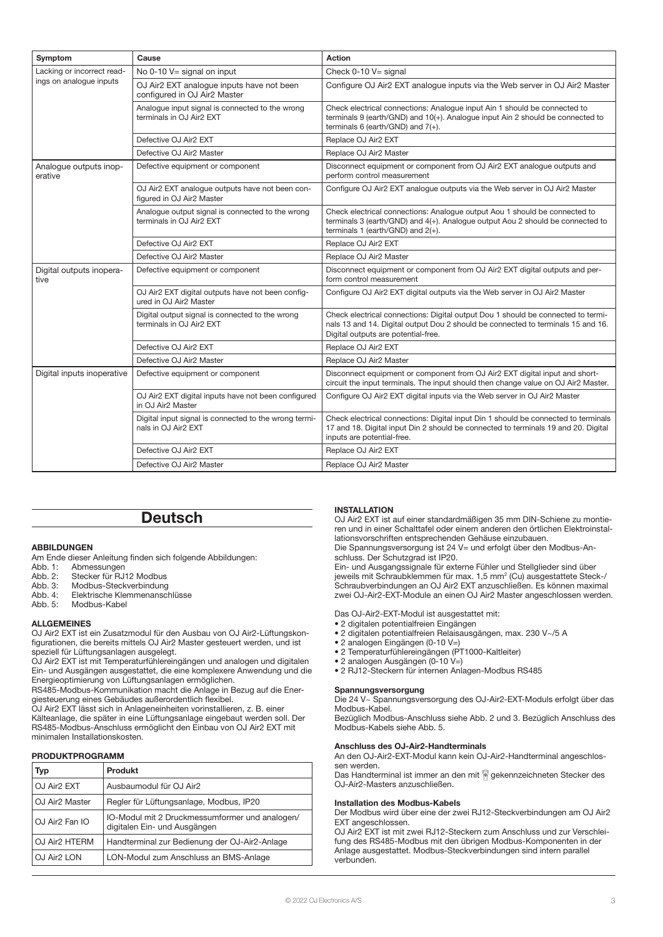| Symptom                                               | Cause                                                                        | Action                                                                                                                                                                                                      |
|-------------------------------------------------------|------------------------------------------------------------------------------|-------------------------------------------------------------------------------------------------------------------------------------------------------------------------------------------------------------|
| Lacking or incorrect read-<br>ings on analogue inputs | No $0-10$ V= signal on input                                                 | Check 0-10 V= signal                                                                                                                                                                                        |
|                                                       | OJ Air2 EXT analoque inputs have not been<br>configured in OJ Air2 Master    | Configure OJ Air2 EXT analogue inputs via the Web server in OJ Air2 Master                                                                                                                                  |
|                                                       | Analogue input signal is connected to the wrong<br>terminals in OJ Air2 EXT  | Check electrical connections: Analogue input Ain 1 should be connected to<br>terminals 9 (earth/GND) and 10(+). Analogue input Ain 2 should be connected to<br>terminals $6$ (earth/GND) and $7(+)$ .       |
|                                                       | Defective OJ Air2 EXT                                                        | Replace OJ Air2 EXT                                                                                                                                                                                         |
|                                                       | Defective OJ Air2 Master                                                     | Replace OJ Air2 Master                                                                                                                                                                                      |
| Analogue outputs inop-<br>erative                     | Defective equipment or component                                             | Disconnect equipment or component from OJ Air2 EXT analogue outputs and<br>perform control measurement                                                                                                      |
|                                                       | OJ Air2 EXT analogue outputs have not been con-<br>figured in OJ Air2 Master | Configure OJ Air2 EXT analogue outputs via the Web server in OJ Air2 Master                                                                                                                                 |
|                                                       | Analogue output signal is connected to the wrong<br>terminals in OJ Air2 EXT | Check electrical connections: Analogue output Aou 1 should be connected to<br>terminals 3 (earth/GND) and 4(+). Analogue output Aou 2 should be connected to<br>terminals 1 (earth/GND) and $2(+)$ .        |
|                                                       | Defective OJ Air2 EXT                                                        | Replace OJ Air2 EXT                                                                                                                                                                                         |
|                                                       | Defective OJ Air2 Master                                                     | Replace OJ Air2 Master                                                                                                                                                                                      |
| Digital outputs inopera-<br>tive                      | Defective equipment or component                                             | Disconnect equipment or component from OJ Air2 EXT digital outputs and per-<br>form control measurement                                                                                                     |
|                                                       | OJ Air2 EXT digital outputs have not been config-<br>ured in OJ Air2 Master  | Configure OJ Air2 EXT digital outputs via the Web server in OJ Air2 Master                                                                                                                                  |
|                                                       | Digital output signal is connected to the wrong<br>terminals in OJ Air2 EXT  | Check electrical connections: Digital output Dou 1 should be connected to termi-<br>nals 13 and 14. Digital output Dou 2 should be connected to terminals 15 and 16.<br>Digital outputs are potential-free. |
|                                                       | Defective OJ Air2 EXT                                                        | Replace OJ Air2 EXT                                                                                                                                                                                         |
|                                                       | Defective OJ Air2 Master                                                     | Replace OJ Air2 Master                                                                                                                                                                                      |
| Digital inputs inoperative                            | Defective equipment or component                                             | Disconnect equipment or component from OJ Air2 EXT digital input and short-<br>circuit the input terminals. The input should then change value on OJ Air2 Master.                                           |
|                                                       | OJ Air2 EXT digital inputs have not been configured<br>in OJ Air2 Master     | Configure OJ Air2 EXT digital inputs via the Web server in OJ Air2 Master                                                                                                                                   |
|                                                       | Digital input signal is connected to the wrong termi-<br>nals in OJ Air2 EXT | Check electrical connections: Digital input Din 1 should be connected to terminals<br>17 and 18. Digital input Din 2 should be connected to terminals 19 and 20. Digital<br>inputs are potential-free.      |
|                                                       | Defective OJ Air2 EXT                                                        | Replace OJ Air2 EXT                                                                                                                                                                                         |
|                                                       | Defective OJ Air2 Master                                                     | Replace OJ Air2 Master                                                                                                                                                                                      |

# **Deutsch**

# ABBILDUNGEN

Am Ende dieser Anleitung finden sich folgende Abbildungen:

- Abb. 1: Abmessungen<br>Abb. 2: Stecker für RJ
- Stecker für RJ12 Modbus
- Abb. 3: Modbus-Steckverbindung
- Abb. 4: Elektrische Klemmenanschlüsse<br>Abb. 5: Modbus-Kabel Modbus-Kabel

# ALLGEMEINES

OJ Air2 EXT ist ein Zusatzmodul für den Ausbau von OJ Air2-Lüftungskonfigurationen, die bereits mittels OJ Air2 Master gesteuert werden, und ist speziell für Lüftungsanlagen ausgelegt.

OJ Air2 EXT ist mit Temperaturfühlereingängen und analogen und digitalen Ein- und Ausgängen ausgestattet, die eine komplexere Anwendung und die Energieoptimierung von Lüftungsanlagen ermöglichen.

RS485-Modbus-Kommunikation macht die Anlage in Bezug auf die Energiesteuerung eines Gebäudes außerordentlich flexibel.

OJ Air2 EXT lässt sich in Anlageneinheiten vorinstallieren, z. B. einer Kälteanlage, die später in eine Lüftungsanlage eingebaut werden soll. Der RS485-Modbus-Anschluss ermöglicht den Einbau von OJ Air2 EXT mit minimalen Installationskosten.

# PRODUKTPROGRAMM

| Typ                        | <b>Produkt</b>                                                                 |  |
|----------------------------|--------------------------------------------------------------------------------|--|
| OJ Air <sub>2</sub> EXT    | Ausbaumodul für OJ Air2                                                        |  |
| OJ Air <sub>2</sub> Master | Regler für Lüftungsanlage, Modbus, IP20                                        |  |
| OJ Air <sub>2</sub> Fan IO | IO-Modul mit 2 Druckmessumformer und analogen/<br>digitalen Ein- und Ausgängen |  |
| OJ Air2 HTERM              | Handterminal zur Bedienung der OJ-Air2-Anlage                                  |  |
| OJ Air <sub>2</sub> LON    | LON-Modul zum Anschluss an BMS-Anlage                                          |  |

# INSTALLATION

OJ Air2 EXT ist auf einer standardmäßigen 35 mm DIN-Schiene zu montieren und in einer Schalttafel oder einem anderen den örtlichen Elektroinstallationsvorschriften entsprechenden Gehäuse einzubauen.

Die Spannungsversorgung ist 24 V= und erfolgt über den Modbus-Anschluss. Der Schutzgrad ist IP20.

Ein- und Ausgangssignale für externe Fühler und Stellglieder sind über jeweils mit Schraubklemmen für max. 1,5 mm2 (Cu) ausgestattete Steck-/ Schraubverbindungen an OJ Air2 EXT anzuschließen. Es können maximal zwei OJ-Air2-EXT-Module an einen OJ Air2 Master angeschlossen werden.

Das OJ-Air2-EXT-Modul ist ausgestattet mit:

- 2 digitalen potentialfreien Eingängen
- 2 digitalen potentialfreien Relaisausgängen, max. 230 V~/5 A
- 2 analogen Eingängen (0-10 V=)
- 2 Temperaturfühlereingängen (PT1000-Kaltleiter)
- 2 analogen Ausgängen (0-10 V=)
- 2 RJ12-Steckern für internen Anlagen-Modbus RS485

#### Spannungsversorgung

Die 24 V~ Spannungsversorgung des OJ-Air2-EXT-Moduls erfolgt über das Modbus-Kabel.

Bezüglich Modbus-Anschluss siehe Abb. 2 und 3. Bezüglich Anschluss des Modbus-Kabels siehe Abb. 5.

#### Anschluss des OJ-Air2-Handterminals

An den OJ-Air2-EXT-Modul kann kein OJ-Air2-Handterminal angeschlossen werden.

Das Handterminal ist immer an den mit <sup>@</sup> gekennzeichneten Stecker des OJ-Air2-Masters anzuschließen.

#### Installation des Modbus-Kabels

Der Modbus wird über eine der zwei RJ12-Steckverbindungen am OJ Air2 EXT angeschlossen.

OJ Air2 EXT ist mit zwei RJ12-Steckern zum Anschluss und zur Verschleifung des RS485-Modbus mit den übrigen Modbus-Komponenten in der Anlage ausgestattet. Modbus-Steckverbindungen sind intern parallel verbunden.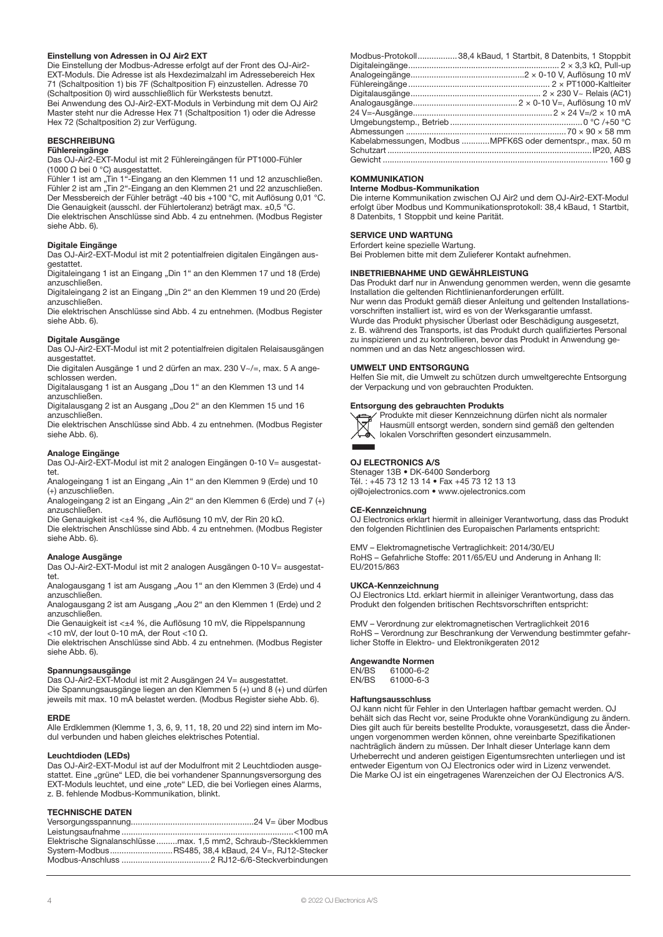#### Einstellung von Adressen in OJ Air2 EXT

Die Einstellung der Modbus-Adresse erfolgt auf der Front des OJ-Air2- EXT-Moduls. Die Adresse ist als Hexdezimalzahl im Adressebereich Hex 71 (Schaltposition 1) bis 7F (Schaltposition F) einzustellen. Adresse 70 (Schaltposition 0) wird ausschließlich für Werkstests benutzt. Bei Anwendung des OJ-Air2-EXT-Moduls in Verbindung mit dem OJ Air2 Master steht nur die Adresse Hex 71 (Schaltposition 1) oder die Adresse Hex 72 (Schaltposition 2) zur Verfügung.

# **BESCHREIBUNG**

Fühlereingänge

Das OJ-Air2-EXT-Modul ist mit 2 Fühlereingängen für PT1000-Fühler (1000 Ω bei 0 °C) ausgestattet.

Fühler 1 ist am "Tin 1"-Eingang an den Klemmen 11 und 12 anzuschließen. Fühler 2 ist am "Tin 2"-Eingang an den Klemmen 21 und 22 anzuschließen. Der Messbereich der Fühler beträgt -40 bis +100 °C, mit Auflösung 0,01 °C. Die Genauigkeit (ausschl. der Fühlertoleranz) beträgt max. ±0,5 °C. Die elektrischen Anschlüsse sind Abb. 4 zu entnehmen. (Modbus Register siehe Abb. 6).

#### Digitale Eingänge

Das OJ-Air2-EXT-Modul ist mit 2 potentialfreien digitalen Eingängen ausgestattet.

Digitaleingang 1 ist an Eingang "Din 1" an den Klemmen 17 und 18 (Erde) anzuschließen.

Digitaleingang 2 ist an Eingang "Din 2" an den Klemmen 19 und 20 (Erde) anzuschließen.

Die elektrischen Anschlüsse sind Abb. 4 zu entnehmen. (Modbus Register siehe Abb. 6).

#### Digitale Ausgänge

Das OJ-Air2-EXT-Modul ist mit 2 potentialfreien digitalen Relaisausgängen ausgestattet.

Die digitalen Ausgänge 1 und 2 dürfen an max. 230 V~/=, max. 5 A angeschlossen werden.

Digitalausgang 1 ist an Ausgang "Dou 1" an den Klemmen 13 und 14 anzuschließen.

Digitalausgang 2 ist an Ausgang "Dou 2" an den Klemmen 15 und 16 anzuschließen.

Die elektrischen Anschlüsse sind Abb. 4 zu entnehmen. (Modbus Register siehe Abb. 6).

#### Analoge Eingänge

Das OJ-Air2-EXT-Modul ist mit 2 analogen Eingängen 0-10 V= ausgestattet.

Analogeingang 1 ist an Eingang "Ain 1" an den Klemmen 9 (Erde) und 10 (+) anzuschließen.

Analogeingang 2 ist an Eingang "Ain 2" an den Klemmen 6 (Erde) und 7 (+) anzuschließen.

Die Genauigkeit ist <±4 %, die Auflösung 10 mV, der Rin 20 kΩ.

Die elektrischen Anschlüsse sind Abb. 4 zu entnehmen. (Modbus Register siehe Abb. 6).

#### Analoge Ausgänge

Das OJ-Air2-EXT-Modul ist mit 2 analogen Ausgängen 0-10 V= ausgestattet.

Analogausgang 1 ist am Ausgang "Aou 1" an den Klemmen 3 (Erde) und 4 anzuschließen.

Analogausgang 2 ist am Ausgang "Aou 2" an den Klemmen 1 (Erde) und 2 anzuschließen.

Die Genauigkeit ist <±4 %, die Auflösung 10 mV, die Rippelspannung <10 mV, der Iout 0-10 mA, der Rout <10 Ω.

Die elektrischen Anschlüsse sind Abb. 4 zu entnehmen. (Modbus Register siehe Abb. 6).

#### Spannungsausgänge

Das OJ-Air2-EXT-Modul ist mit 2 Ausgängen 24 V= ausgestattet. Die Spannungsausgänge liegen an den Klemmen 5 (+) und 8 (+) und dürfen jeweils mit max. 10 mA belastet werden. (Modbus Register siehe Abb. 6).

#### ERDE

Alle Erdklemmen (Klemme 1, 3, 6, 9, 11, 18, 20 und 22) sind intern im Modul verbunden und haben gleiches elektrisches Potential.

#### Leuchtdioden (LEDs)

Das OJ-Air2-EXT-Modul ist auf der Modulfront mit 2 Leuchtdioden ausgestattet. Eine "grüne" LED, die bei vorhandener Spannungsversorgung des EXT-Moduls leuchtet, und eine "rote" LED, die bei Vorliegen eines Alarms, z. B. fehlende Modbus-Kommunikation, blinkt.

# TECHNISCHE DATEN

| Elektrische Signalanschlüssemax. 1,5 mm2, Schraub-/Steckklemmen |
|-----------------------------------------------------------------|
| System-ModbusRS485, 38,4 kBaud, 24 V=, RJ12-Stecker             |
|                                                                 |

| Modbus-Protokoll38,4 kBaud, 1 Startbit, 8 Datenbits, 1 Stoppbit |
|-----------------------------------------------------------------|
|                                                                 |
|                                                                 |
|                                                                 |
|                                                                 |
|                                                                 |
|                                                                 |
|                                                                 |
|                                                                 |
| Kabelabmessungen, Modbus MPFK6S oder dementspr., max. 50 m      |
|                                                                 |
|                                                                 |
|                                                                 |

#### **KOMMUNIKATION**

Interne Modbus-Kommunikation

Die interne Kommunikation zwischen OJ Air2 und dem OJ-Air2-EXT-Modul erfolgt über Modbus und Kommunikationsprotokoll: 38,4 kBaud, 1 Startbit, 8 Datenbits, 1 Stoppbit und keine Parität.

# SERVICE UND WARTUNG

Erfordert keine spezielle Wartung.

Bei Problemen bitte mit dem Zulieferer Kontakt aufnehmen.

#### INBETRIEBNAHME UND GEWÄHRLEISTUNG

Das Produkt darf nur in Anwendung genommen werden, wenn die gesamte Installation die geltenden Richtlinienanforderungen erfüllt. Nur wenn das Produkt gemäß dieser Anleitung und geltenden Installationsvorschriften installiert ist, wird es von der Werksgarantie umfasst. Wurde das Produkt physischer Überlast oder Beschädigung ausgesetzt, z. B. während des Transports, ist das Produkt durch qualifiziertes Personal zu inspizieren und zu kontrollieren, bevor das Produkt in Anwendung genommen und an das Netz angeschlossen wird.

#### UMWELT UND ENTSORGUNG

Helfen Sie mit, die Umwelt zu schützen durch umweltgerechte Entsorgung der Verpackung und von gebrauchten Produkten.

#### Entsorgung des gebrauchten Produkts

Produkte mit dieser Kennzeichnung dürfen nicht als normaler Hausmüll entsorgt werden, sondern sind gemäß den geltenden lokalen Vorschriften gesondert einzusammeln.



#### OJ ELECTRONICS A/S

Stenager 13B • DK-6400 Sønderborg Tél. : +45 73 12 13 14 • Fax +45 73 12 13 13 oj@ojelectronics.com • www.ojelectronics.com

#### CE-Kennzeichnung

OJ Electronics erklart hiermit in alleiniger Verantwortung, dass das Produkt den folgenden Richtlinien des Europaischen Parlaments entspricht:

EMV – Elektromagnetische Vertraglichkeit: 2014/30/EU RoHS – Gefahrliche Stoffe: 2011/65/EU und Anderung in Anhang II: EU/2015/863

#### UKCA-Kennzeichnung

OJ Electronics Ltd. erklart hiermit in alleiniger Verantwortung, dass das Produkt den folgenden britischen Rechtsvorschriften entspricht:

EMV – Verordnung zur elektromagnetischen Vertraglichkeit 2016 RoHS – Verordnung zur Beschrankung der Verwendung bestimmter gefahrlicher Stoffe in Elektro- und Elektronikgeraten 2012

Angewandte Normen<br>EN/BS 61000-6-2 EN/BS 61000-6-2<br>EN/BS 61000-6-3 61000-6-3

#### **Haftungsausschluss**

OJ kann nicht für Fehler in den Unterlagen haftbar gemacht werden. OJ behält sich das Recht vor, seine Produkte ohne Vorankündigung zu ändern. Dies gilt auch für bereits bestellte Produkte, vorausgesetzt, dass die Änderungen vorgenommen werden können, ohne vereinbarte Spezifikationen nachträglich ändern zu müssen. Der Inhalt dieser Unterlage kann dem Urheberrecht und anderen geistigen Eigentumsrechten unterliegen und ist entweder Eigentum von OJ Electronics oder wird in Lizenz verwendet. Die Marke OJ ist ein eingetragenes Warenzeichen der OJ Electronics A/S.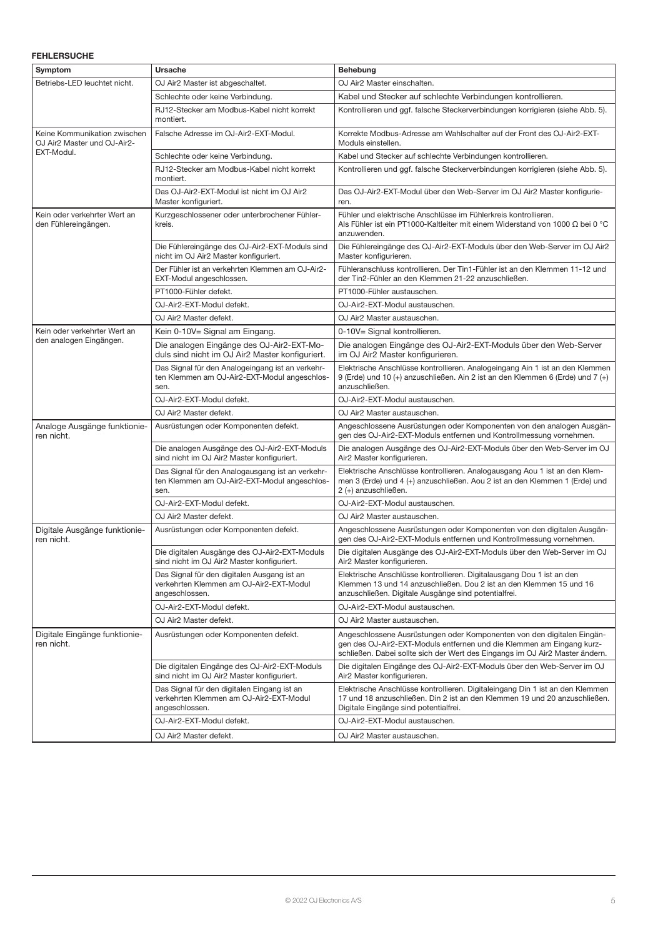# FEHLERSUCHE

| Symptom                                                     | Ursache                                                                                                  | <b>Behebung</b>                                                                                                                                                                                                                 |
|-------------------------------------------------------------|----------------------------------------------------------------------------------------------------------|---------------------------------------------------------------------------------------------------------------------------------------------------------------------------------------------------------------------------------|
| Betriebs-LED leuchtet nicht.                                | OJ Air2 Master ist abgeschaltet.                                                                         | OJ Air2 Master einschalten.                                                                                                                                                                                                     |
|                                                             | Schlechte oder keine Verbindung.                                                                         | Kabel und Stecker auf schlechte Verbindungen kontrollieren.                                                                                                                                                                     |
|                                                             | RJ12-Stecker am Modbus-Kabel nicht korrekt<br>montiert.                                                  | Kontrollieren und ggf. falsche Steckerverbindungen korrigieren (siehe Abb. 5).                                                                                                                                                  |
| Keine Kommunikation zwischen<br>OJ Air2 Master und OJ-Air2- | Falsche Adresse im OJ-Air2-EXT-Modul.                                                                    | Korrekte Modbus-Adresse am Wahlschalter auf der Front des OJ-Air2-EXT-<br>Moduls einstellen.                                                                                                                                    |
| EXT-Modul.                                                  | Schlechte oder keine Verbindung.                                                                         | Kabel und Stecker auf schlechte Verbindungen kontrollieren.                                                                                                                                                                     |
|                                                             | RJ12-Stecker am Modbus-Kabel nicht korrekt<br>montiert.                                                  | Kontrollieren und ggf. falsche Steckerverbindungen korrigieren (siehe Abb. 5).                                                                                                                                                  |
|                                                             | Das OJ-Air2-EXT-Modul ist nicht im OJ Air2<br>Master konfiguriert.                                       | Das OJ-Air2-EXT-Modul über den Web-Server im OJ Air2 Master konfigurie-<br>ren.                                                                                                                                                 |
| Kein oder verkehrter Wert an<br>den Fühlereingängen.        | Kurzgeschlossener oder unterbrochener Fühler-<br>kreis.                                                  | Fühler und elektrische Anschlüsse im Fühlerkreis kontrollieren.<br>Als Fühler ist ein PT1000-Kaltleiter mit einem Widerstand von 1000 $\Omega$ bei 0 °C<br>anzuwenden.                                                          |
|                                                             | Die Fühlereingänge des OJ-Air2-EXT-Moduls sind<br>nicht im OJ Air2 Master konfiguriert.                  | Die Fühlereingänge des OJ-Air2-EXT-Moduls über den Web-Server im OJ Air2<br>Master konfigurieren.                                                                                                                               |
|                                                             | Der Fühler ist an verkehrten Klemmen am OJ-Air2-<br>EXT-Modul angeschlossen.                             | Fühleranschluss kontrollieren. Der Tin1-Fühler ist an den Klemmen 11-12 und<br>der Tin2-Fühler an den Klemmen 21-22 anzuschließen.                                                                                              |
|                                                             | PT1000-Fühler defekt.                                                                                    | PT1000-Fühler austauschen.                                                                                                                                                                                                      |
|                                                             | OJ-Air2-EXT-Modul defekt.                                                                                | OJ-Air2-EXT-Modul austauschen.                                                                                                                                                                                                  |
|                                                             | OJ Air2 Master defekt.                                                                                   | OJ Air2 Master austauschen.                                                                                                                                                                                                     |
| Kein oder verkehrter Wert an                                | Kein 0-10V= Signal am Eingang.                                                                           | 0-10V= Signal kontrollieren.                                                                                                                                                                                                    |
| den analogen Eingängen.                                     | Die analogen Eingänge des OJ-Air2-EXT-Mo-<br>duls sind nicht im OJ Air2 Master konfiguriert.             | Die analogen Eingänge des OJ-Air2-EXT-Moduls über den Web-Server<br>im OJ Air2 Master konfigurieren.                                                                                                                            |
|                                                             | Das Signal für den Analogeingang ist an verkehr-<br>ten Klemmen am OJ-Air2-EXT-Modul angeschlos-<br>sen. | Elektrische Anschlüsse kontrollieren. Analogeingang Ain 1 ist an den Klemmen<br>9 (Erde) und 10 (+) anzuschließen. Ain 2 ist an den Klemmen 6 (Erde) und 7 (+)<br>anzuschließen.                                                |
|                                                             | OJ-Air2-EXT-Modul defekt.                                                                                | OJ-Air2-EXT-Modul austauschen.                                                                                                                                                                                                  |
|                                                             | OJ Air2 Master defekt.                                                                                   | OJ Air2 Master austauschen.                                                                                                                                                                                                     |
| Analoge Ausgänge funktionie-<br>ren nicht.                  | Ausrüstungen oder Komponenten defekt.                                                                    | Angeschlossene Ausrüstungen oder Komponenten von den analogen Ausgän-<br>gen des OJ-Air2-EXT-Moduls entfernen und Kontrollmessung vornehmen.                                                                                    |
|                                                             | Die analogen Ausgänge des OJ-Air2-EXT-Moduls<br>sind nicht im OJ Air2 Master konfiguriert.               | Die analogen Ausgänge des OJ-Air2-EXT-Moduls über den Web-Server im OJ<br>Air2 Master konfigurieren.                                                                                                                            |
|                                                             | Das Signal für den Analogausgang ist an verkehr-<br>ten Klemmen am OJ-Air2-EXT-Modul angeschlos-<br>sen. | Elektrische Anschlüsse kontrollieren. Analogausgang Aou 1 ist an den Klem-<br>men 3 (Erde) und 4 (+) anzuschließen. Aou 2 ist an den Klemmen 1 (Erde) und<br>2 (+) anzuschließen.                                               |
|                                                             | OJ-Air2-EXT-Modul defekt.                                                                                | OJ-Air2-EXT-Modul austauschen.                                                                                                                                                                                                  |
|                                                             | OJ Air2 Master defekt.                                                                                   | OJ Air2 Master austauschen.                                                                                                                                                                                                     |
| Digitale Ausgänge funktionie-<br>ren nicht.                 | Ausrüstungen oder Komponenten defekt.                                                                    | Angeschlossene Ausrüstungen oder Komponenten von den digitalen Ausgän-<br>gen des OJ-Air2-EXT-Moduls entfernen und Kontrollmessung vornehmen.                                                                                   |
|                                                             | Die digitalen Ausgänge des OJ-Air2-EXT-Moduls<br>sind nicht im OJ Air2 Master konfiguriert.              | Die digitalen Ausgänge des OJ-Air2-EXT-Moduls über den Web-Server im OJ<br>Air2 Master konfigurieren.                                                                                                                           |
|                                                             | Das Signal für den digitalen Ausgang ist an<br>verkehrten Klemmen am OJ-Air2-EXT-Modul<br>angeschlossen. | Elektrische Anschlüsse kontrollieren. Digitalausgang Dou 1 ist an den<br>Klemmen 13 und 14 anzuschließen. Dou 2 ist an den Klemmen 15 und 16<br>anzuschließen. Digitale Ausgänge sind potentialfrei.                            |
|                                                             | OJ-Air2-EXT-Modul defekt.                                                                                | OJ-Air2-EXT-Modul austauschen.                                                                                                                                                                                                  |
|                                                             | OJ Air2 Master defekt.                                                                                   | OJ Air2 Master austauschen.                                                                                                                                                                                                     |
| Digitale Eingänge funktionie-<br>ren nicht.                 | Ausrüstungen oder Komponenten defekt.                                                                    | Angeschlossene Ausrüstungen oder Komponenten von den digitalen Eingän-<br>gen des OJ-Air2-EXT-Moduls entfernen und die Klemmen am Eingang kurz-<br>schließen. Dabei sollte sich der Wert des Eingangs im OJ Air2 Master ändern. |
|                                                             | Die digitalen Eingänge des OJ-Air2-EXT-Moduls<br>sind nicht im OJ Air2 Master konfiguriert.              | Die digitalen Eingänge des OJ-Air2-EXT-Moduls über den Web-Server im OJ<br>Air2 Master konfigurieren.                                                                                                                           |
|                                                             | Das Signal für den digitalen Eingang ist an<br>verkehrten Klemmen am OJ-Air2-EXT-Modul<br>angeschlossen. | Elektrische Anschlüsse kontrollieren. Digitaleingang Din 1 ist an den Klemmen<br>17 und 18 anzuschließen. Din 2 ist an den Klemmen 19 und 20 anzuschließen.<br>Digitale Eingänge sind potentialfrei.                            |
|                                                             | OJ-Air2-EXT-Modul defekt.                                                                                | OJ-Air2-EXT-Modul austauschen.                                                                                                                                                                                                  |
|                                                             | OJ Air2 Master defekt.                                                                                   | OJ Air2 Master austauschen.                                                                                                                                                                                                     |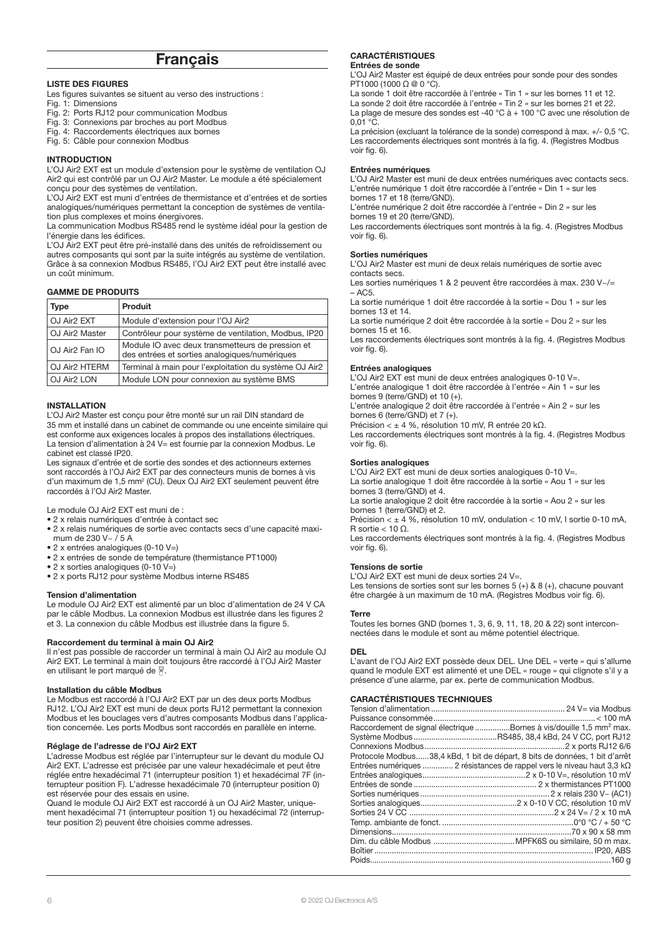# **Français**

#### LISTE DES FIGURES

Les figures suivantes se situent au verso des instructions :

- Fig. 1: Dimensions
- Fig. 2: Ports RJ12 pour communication Modbus Fig. 3: Connexions par broches au port Modbus
- Fig. 4: Raccordements électriques aux bornes
- Fig. 5: Câble pour connexion Modbus
- 

### INTRODUCTION

L'OJ Air2 EXT est un module d'extension pour le système de ventilation OJ Air2 qui est contrôlé par un OJ Air2 Master. Le module a été spécialement conçu pour des systèmes de ventilation.

L'OJ Air2 EXT est muni d'entrées de thermistance et d'entrées et de sorties analogiques/numériques permettant la conception de systèmes de ventilation plus complexes et moins énergivores.

La communication Modbus RS485 rend le système idéal pour la gestion de l'énergie dans les édifices.

L'OJ Air2 EXT peut être pré-installé dans des unités de refroidissement ou autres composants qui sont par la suite intégrés au système de ventilation. Grâce à sa connexion Modbus RS485, l'OJ Air2 EXT peut être installé avec un coût minimum.

#### GAMME DE PRODUITS

| Type                       | <b>Produit</b>                                                                                    |
|----------------------------|---------------------------------------------------------------------------------------------------|
| OJ Air <sub>2</sub> EXT    | Module d'extension pour l'OJ Air2                                                                 |
| OJ Air2 Master             | Contrôleur pour système de ventilation, Modbus, IP20                                              |
| OJ Air <sub>2</sub> Fan IO | Module IO avec deux transmetteurs de pression et<br>des entrées et sorties analogiques/numériques |
| OJ Air <sub>2</sub> HTERM  | Terminal à main pour l'exploitation du système OJ Air2                                            |
| OJ Air2 LON                | Module LON pour connexion au système BMS                                                          |

#### INSTALLATION

L'OJ Air2 Master est conçu pour être monté sur un rail DIN standard de 35 mm et installé dans un cabinet de commande ou une enceinte similaire qui est conforme aux exigences locales à propos des installations électriques. La tension d'alimentation à 24 V= est fournie par la connexion Modbus. Le cabinet est classé IP20.

Les signaux d'entrée et de sortie des sondes et des actionneurs externes sont raccordés à l'OJ Air2 EXT par des connecteurs munis de bornes à vis d'un maximum de 1,5 mm<sup>2</sup> (CU). Deux OJ Air2 EXT seulement peuvent être raccordés à l'OJ Air2 Master.

Le module OJ Air2 EXT est muni de :

- 2 x relais numériques d'entrée à contact sec
- 2 x relais numériques de sortie avec contacts secs d'une capacité maximum de 230 V~ / 5 A
- 2 x entrées analogiques (0-10 V=)
- 2 x entrées de sonde de température (thermistance PT1000)
- 2 x sorties analogiques (0-10 V=)
- 2 x ports RJ12 pour système Modbus interne RS485

#### Tension d'alimentation

Le module OJ Air2 EXT est alimenté par un bloc d'alimentation de 24 V CA par le câble Modbus. La connexion Modbus est illustrée dans les figures 2 et 3. La connexion du câble Modbus est illustrée dans la figure 5.

#### Raccordement du terminal à main OJ Air2

Il n'est pas possible de raccorder un terminal à main OJ Air2 au module OJ Air2 EXT. Le terminal à main doit toujours être raccordé à l'OJ Air2 Master en utilisant le port marqué de  $\sqrt{ }$ 

#### Installation du câble Modbus

Le Modbus est raccordé à l'OJ Air2 EXT par un des deux ports Modbus RJ12. L'OJ Air2 EXT est muni de deux ports RJ12 permettant la connexion Modbus et les bouclages vers d'autres composants Modbus dans l'application concernée. Les ports Modbus sont raccordés en parallèle en interne.

#### Réglage de l'adresse de l'OJ Air2 EXT

L'adresse Modbus est réglée par l'interrupteur sur le devant du module OJ Air2 EXT. L'adresse est précisée par une valeur hexadécimale et peut être réglée entre hexadécimal 71 (interrupteur position 1) et hexadécimal 7F (interrupteur position F). L'adresse hexadécimale 70 (interrupteur position 0) est réservée pour des essais en usine.

Quand le module OJ Air2 EXT est raccordé à un OJ Air2 Master, uniquement hexadécimal 71 (interrupteur position 1) ou hexadécimal 72 (interrupteur position 2) peuvent être choisies comme adresses.

#### CARACTÉRISTIQUES Entrées de sonde

L'OJ Air2 Master est équipé de deux entrées pour sonde pour des sondes PT1000 (1000 Ω @ 0 °C).

La sonde 1 doit être raccordée à l'entrée « Tin 1 » sur les bornes 11 et 12. La sonde 2 doit être raccordée à l'entrée « Tin 2 » sur les bornes 21 et 22. La plage de mesure des sondes est -40 °C à + 100 °C avec une résolution de  $0.01$  °C.

La précision (excluant la tolérance de la sonde) correspond à max. +/- 0,5 °C. Les raccordements électriques sont montrés à la fig. 4. (Registres Modbus voir fig. 6).

#### Entrées numériques

L'OJ Air2 Master est muni de deux entrées numériques avec contacts secs. L'entrée numérique 1 doit être raccordée à l'entrée « Din 1 » sur les bornes 17 et 18 (terre/GND).

L'entrée numérique 2 doit être raccordée à l'entrée « Din 2 » sur les bornes 19 et 20 (terre/GND).

Les raccordements électriques sont montrés à la fig. 4. (Registres Modbus voir fig. 6).

#### Sorties numériques

L'OJ Air2 Master est muni de deux relais numériques de sortie avec contacts secs.

Les sorties numériques 1 & 2 peuvent être raccordées à max. 230 V~/=  $-$  AC<sub>5</sub>.

La sortie numérique 1 doit être raccordée à la sortie « Dou 1 » sur les bornes 13 et 14.

La sortie numérique 2 doit être raccordée à la sortie « Dou 2 » sur les bornes 15 et 16.

Les raccordements électriques sont montrés à la fig. 4. (Registres Modbus voir fig. 6).

#### Entrées analogiques

L'OJ Air2 EXT est muni de deux entrées analogiques 0-10 V=. L'entrée analogique 1 doit être raccordée à l'entrée « Ain 1 » sur les

bornes 9 (terre/GND) et 10 (+). L'entrée analogique 2 doit être raccordée à l'entrée « Ain 2 » sur les bornes 6 (terre/GND) et 7 (+).

Précision < ± 4 %, résolution 10 mV, R entrée 20 kΩ.

Les raccordements électriques sont montrés à la fig. 4. (Registres Modbus voir fig. 6).

#### Sorties analogiques

L'OJ Air2 EXT est muni de deux sorties analogiques 0-10 V=. La sortie analogique 1 doit être raccordée à la sortie « Aou 1 » sur les bornes 3 (terre/GND) et 4.

La sortie analogique 2 doit être raccordée à la sortie « Aou 2 » sur les bornes 1 (terre/GND) et 2.

Précision < ± 4 %, résolution 10 mV, ondulation < 10 mV, I sortie 0-10 mA, R sortie < 10 Ω.

Les raccordements électriques sont montrés à la fig. 4. (Registres Modbus voir fig. 6).

#### Tensions de sortie

L'OJ Air2 EXT est muni de deux sorties 24 V=.

Les tensions de sorties sont sur les bornes 5 (+) & 8 (+), chacune pouvant être chargée à un maximum de 10 mA. (Registres Modbus voir fig. 6).

#### **Terre**

Toutes les bornes GND (bornes 1, 3, 6, 9, 11, 18, 20 & 22) sont interconnectées dans le module et sont au même potentiel électrique.

#### DEL

L'avant de l'OJ Air2 EXT possède deux DEL. Une DEL « verte » qui s'allume quand le module EXT est alimenté et une DEL « rouge » qui clignote s'il y a présence d'une alarme, par ex. perte de communication Modbus.

#### CARACTÉRISTIQUES TECHNIQUES

| Raccordement de signal électrique Bornes à vis/douille 1,5 mm <sup>2</sup> max. |  |
|---------------------------------------------------------------------------------|--|
|                                                                                 |  |
|                                                                                 |  |
| Protocole Modbus38,4 kBd, 1 bit de départ, 8 bits de données, 1 bit d'arrêt     |  |
| Entrées numériques  2 résistances de rappel vers le niveau haut 3,3 k $\Omega$  |  |
|                                                                                 |  |
|                                                                                 |  |
|                                                                                 |  |
|                                                                                 |  |
|                                                                                 |  |
|                                                                                 |  |
|                                                                                 |  |
|                                                                                 |  |
|                                                                                 |  |
|                                                                                 |  |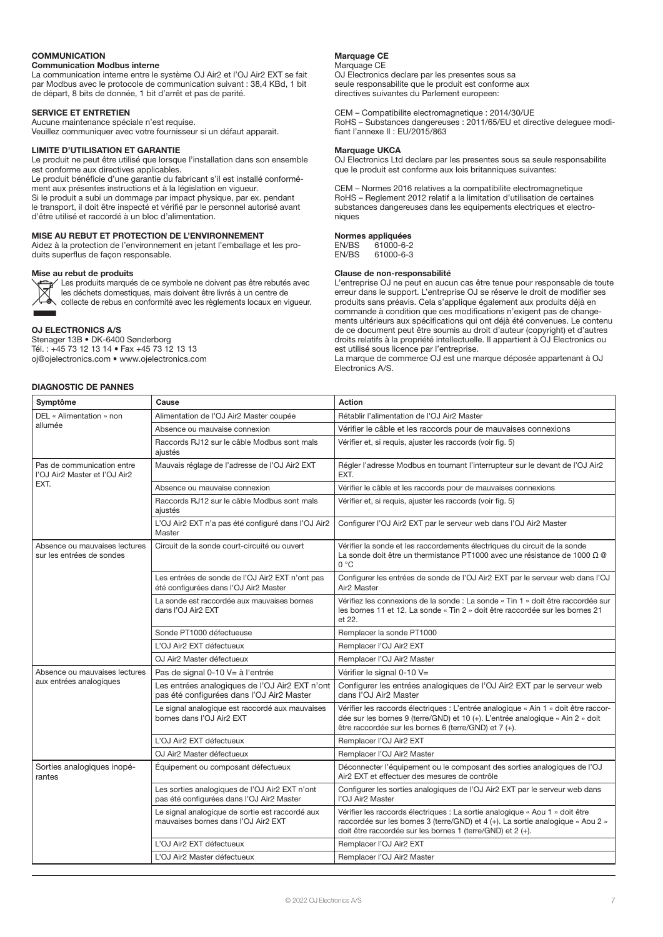# **COMMUNICATION**

# Communication Modbus interne

La communication interne entre le système OJ Air2 et l'OJ Air2 EXT se fait par Modbus avec le protocole de communication suivant : 38,4 KBd, 1 bit de départ, 8 bits de donnée, 1 bit d'arrêt et pas de parité.

# SERVICE ET ENTRETIEN

Aucune maintenance spéciale n'est requise. Veuillez communiquer avec votre fournisseur si un défaut apparait.

# LIMITE D'UTILISATION ET GARANTIE

Le produit ne peut être utilisé que lorsque l'installation dans son ensemble est conforme aux directives applicables. Le produit bénéficie d'une garantie du fabricant s'il est installé conformément aux présentes instructions et à la législation en vigueur.

Si le produit a subi un dommage par impact physique, par ex. pendant le transport, il doit être inspecté et vérifié par le personnel autorisé avant d'être utilisé et raccordé à un bloc d'alimentation.

# MISE AU REBUT ET PROTECTION DE L'ENVIRONNEMENT

Aidez à la protection de l'environnement en jetant l'emballage et les produits superflus de façon responsable.

#### Mise au rebut de produits Les produits marqués de ce symbole ne doivent pas être rebutés avec



les déchets domestiques, mais doivent être livrés à un centre de collecte de rebus en conformité avec les règlements locaux en vigueur.

### OJ ELECTRONICS A/S

Stenager 13B • DK-6400 Sønderborg Tél. : +45 73 12 13 14 • Fax +45 73 12 13 13 oj@ojelectronics.com • www.ojelectronics.com

# DIAGNOSTIC DE PANNES

# Marquage CE

Marquage CE OJ Electronics declare par les presentes sous sa seule responsabilite que le produit est conforme aux directives suivantes du Parlement europeen:

CEM – Compatibilite electromagnetique : 2014/30/UE RoHS – Substances dangereuses : 2011/65/EU et directive deleguee modifiant l'annexe II : EU/2015/863

#### Marquage UKCA

OJ Electronics Ltd declare par les presentes sous sa seule responsabilite que le produit est conforme aux lois britanniques suivantes:

CEM – Normes 2016 relatives a la compatibilite electromagnetique RoHS – Reglement 2012 relatif a la limitation d'utilisation de certaines substances dangereuses dans les equipements electriques et electroniques

# Normes appliquées<br>EN/BS 61000-6-2

EN/BS 61000-6-2  $61000 - 6 - 3$ 

#### Clause de non-responsabilité

L'entreprise OJ ne peut en aucun cas être tenue pour responsable de toute erreur dans le support. L'entreprise OJ se réserve le droit de modifier ses produits sans préavis. Cela s'applique également aux produits déjà en commande à condition que ces modifications n'exigent pas de changements ultérieurs aux spécifications qui ont déjà été convenues. Le contenu de ce document peut être soumis au droit d'auteur (copyright) et d'autres droits relatifs à la propriété intellectuelle. Il appartient à OJ Electronics ou est utilisé sous licence par l'entreprise.

La marque de commerce OJ est une marque déposée appartenant à OJ Electronics A/S.

| Symptôme                                                    | Cause                                                                                       | Action                                                                                                                                                                                                                         |
|-------------------------------------------------------------|---------------------------------------------------------------------------------------------|--------------------------------------------------------------------------------------------------------------------------------------------------------------------------------------------------------------------------------|
| DEL « Alimentation » non<br>allumée                         | Alimentation de l'OJ Air2 Master coupée                                                     | Rétablir l'alimentation de l'OJ Air2 Master                                                                                                                                                                                    |
|                                                             | Absence ou mauvaise connexion                                                               | Vérifier le câble et les raccords pour de mauvaises connexions                                                                                                                                                                 |
|                                                             | Raccords RJ12 sur le câble Modbus sont mals<br>aiustés                                      | Vérifier et, si requis, ajuster les raccords (voir fig. 5)                                                                                                                                                                     |
| Pas de communication entre<br>l'OJ Air2 Master et l'OJ Air2 | Mauvais réglage de l'adresse de l'OJ Air2 EXT                                               | Régler l'adresse Modbus en tournant l'interrupteur sur le devant de l'OJ Air2<br>EXT.                                                                                                                                          |
| EXT.                                                        | Absence ou mauvaise connexion                                                               | Vérifier le câble et les raccords pour de mauvaises connexions                                                                                                                                                                 |
|                                                             | Raccords RJ12 sur le câble Modbus sont mals<br>ajustés                                      | Vérifier et, si requis, ajuster les raccords (voir fig. 5)                                                                                                                                                                     |
|                                                             | L'OJ Air2 EXT n'a pas été configuré dans l'OJ Air2<br>Master                                | Configurer I'OJ Air2 EXT par le serveur web dans I'OJ Air2 Master                                                                                                                                                              |
| Absence ou mauvaises lectures<br>sur les entrées de sondes  | Circuit de la sonde court-circuité ou ouvert                                                | Vérifier la sonde et les raccordements électriques du circuit de la sonde<br>La sonde doit être un thermistance PT1000 avec une résistance de 1000 Ω @<br>0 °C                                                                 |
|                                                             | Les entrées de sonde de l'OJ Air2 EXT n'ont pas<br>été configurées dans l'OJ Air2 Master    | Configurer les entrées de sonde de l'OJ Air2 EXT par le serveur web dans l'OJ<br>Air <sub>2</sub> Master                                                                                                                       |
|                                                             | La sonde est raccordée aux mauvaises bornes<br>dans I'OJ Air2 EXT                           | Vérifiez les connexions de la sonde : La sonde « Tin 1 » doit être raccordée sur<br>les bornes 11 et 12. La sonde « Tin 2 » doit être raccordée sur les bornes 21<br>et 22.                                                    |
|                                                             | Sonde PT1000 défectueuse                                                                    | Remplacer la sonde PT1000                                                                                                                                                                                                      |
|                                                             | L'OJ Air2 EXT défectueux                                                                    | Remplacer I'OJ Air2 EXT                                                                                                                                                                                                        |
|                                                             | OJ Air2 Master défectueux                                                                   | Remplacer I'OJ Air2 Master                                                                                                                                                                                                     |
| Absence ou mauvaises lectures<br>aux entrées analogiques    | Pas de signal 0-10 V= à l'entrée                                                            | Vérifier le signal 0-10 V=                                                                                                                                                                                                     |
|                                                             | Les entrées analogiques de l'OJ Air2 EXT n'ont<br>pas été configurées dans l'OJ Air2 Master | Configurer les entrées analogiques de l'OJ Air2 EXT par le serveur web<br>dans I'OJ Air2 Master                                                                                                                                |
|                                                             | Le signal analogique est raccordé aux mauvaises<br>bornes dans I'OJ Air2 EXT                | Vérifier les raccords électriques : L'entrée analogique « Ain 1 » doit être raccor-<br>dée sur les bornes 9 (terre/GND) et 10 (+). L'entrée analogique « Ain 2 » doit<br>être raccordée sur les bornes 6 (terre/GND) et 7 (+). |
|                                                             | L'OJ Air2 EXT défectueux                                                                    | Remplacer I'OJ Air2 EXT                                                                                                                                                                                                        |
|                                                             | OJ Air2 Master défectueux                                                                   | Remplacer I'OJ Air2 Master                                                                                                                                                                                                     |
| Sorties analogiques inopé-<br>rantes                        | Équipement ou composant défectueux                                                          | Déconnecter l'équipement ou le composant des sorties analogiques de l'OJ<br>Air2 EXT et effectuer des mesures de contrôle                                                                                                      |
|                                                             | Les sorties analogiques de l'OJ Air2 EXT n'ont<br>pas été configurées dans l'OJ Air2 Master | Configurer les sorties analogiques de l'OJ Air2 EXT par le serveur web dans<br>l'OJ Air2 Master                                                                                                                                |
|                                                             | Le signal analogique de sortie est raccordé aux<br>mauvaises bornes dans l'OJ Air2 EXT      | Vérifier les raccords électriques : La sortie analogique « Aou 1 » doit être<br>raccordée sur les bornes 3 (terre/GND) et 4 (+). La sortie analogique « Aou 2 »<br>doit être raccordée sur les bornes 1 (terre/GND) et 2 (+).  |
|                                                             | L'OJ Air2 EXT défectueux                                                                    | Remplacer I'OJ Air2 EXT                                                                                                                                                                                                        |
|                                                             | L'OJ Air2 Master défectueux                                                                 | Remplacer I'OJ Air2 Master                                                                                                                                                                                                     |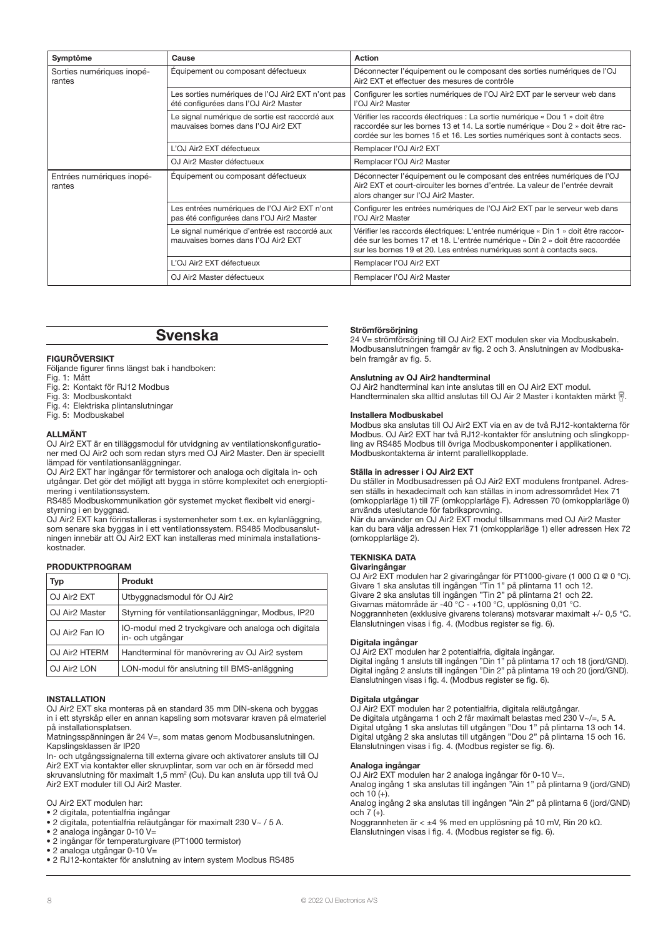| Symptôme                            | Cause                                                                                      | <b>Action</b>                                                                                                                                                                                                                                  |
|-------------------------------------|--------------------------------------------------------------------------------------------|------------------------------------------------------------------------------------------------------------------------------------------------------------------------------------------------------------------------------------------------|
| Sorties numériques inopé-<br>rantes | Équipement ou composant défectueux                                                         | Déconnecter l'équipement ou le composant des sorties numériques de l'OJ<br>Air <sub>2</sub> EXT et effectuer des mesures de contrôle                                                                                                           |
|                                     | Les sorties numériques de l'OJ Air2 EXT n'ont pas<br>été configurées dans l'OJ Air2 Master | Configurer les sorties numériques de l'OJ Air2 EXT par le serveur web dans<br>l'OJ Air2 Master                                                                                                                                                 |
|                                     | Le signal numérique de sortie est raccordé aux<br>mauvaises bornes dans l'OJ Air2 EXT      | Vérifier les raccords électriques : La sortie numérique « Dou 1 » doit être<br>raccordée sur les bornes 13 et 14. La sortie numérique « Dou 2 » doit être rac-<br>cordée sur les bornes 15 et 16. Les sorties numériques sont à contacts secs. |
|                                     | L'OJ Air2 EXT défectueux                                                                   | Remplacer I'OJ Air2 EXT                                                                                                                                                                                                                        |
|                                     | OJ Air2 Master défectueux                                                                  | Remplacer I'OJ Air2 Master                                                                                                                                                                                                                     |
| Entrées numériques inopé-<br>rantes | Équipement ou composant défectueux                                                         | Déconnecter l'équipement ou le composant des entrées numériques de l'OJ<br>Air2 EXT et court-circuiter les bornes d'entrée. La valeur de l'entrée devrait<br>alors changer sur l'OJ Air2 Master.                                               |
|                                     | Les entrées numériques de l'OJ Air2 EXT n'ont<br>pas été configurées dans l'OJ Air2 Master | Configurer les entrées numériques de l'OJ Air2 EXT par le serveur web dans<br>l'OJ Air2 Master                                                                                                                                                 |
|                                     | Le signal numérique d'entrée est raccordé aux<br>mauvaises bornes dans l'OJ Air2 EXT       | Vérifier les raccords électriques: L'entrée numérique « Din 1 » doit être raccor-<br>dée sur les bornes 17 et 18. L'entrée numérique « Din 2 » doit être raccordée<br>sur les bornes 19 et 20. Les entrées numériques sont à contacts secs.    |
|                                     | L'OJ Air2 EXT défectueux                                                                   | Remplacer I'OJ Air2 EXT                                                                                                                                                                                                                        |
|                                     | OJ Air2 Master défectueux                                                                  | Remplacer I'OJ Air2 Master                                                                                                                                                                                                                     |

# Svenska

### FIGURÖVERSIKT

Följande figurer finns längst bak i handboken:

- Fig. 1: Mått
- Fig. 2: Kontakt för RJ12 Modbus
- Fig. 3: Modbuskontakt
- Fig. 4: Elektriska plintanslutningar
- Fig. 5: Modbuskabel

# ALLMÄNT

OJ Air2 EXT är en tilläggsmodul för utvidgning av ventilationskonfigurationer med OJ Air2 och som redan styrs med OJ Air2 Master. Den är speciellt lämpad för ventilationsanläggningar.

OJ Air2 EXT har ingångar för termistorer och analoga och digitala in- och utgångar. Det gör det möjligt att bygga in större komplexitet och energioptimering i ventilationssystem.

RS485 Modbuskommunikation gör systemet mycket flexibelt vid energistyrning i en byggnad.

OJ Air2 EXT kan förinstalleras i systemenheter som t.ex. en kylanläggning, som senare ska byggas in i ett ventilationssystem. RS485 Modbusanslutningen innebär att OJ Air2 EXT kan installeras med minimala installationskostnader.

# PRODUKTPROGRAM

| Typ                        | <b>Produkt</b>                                                          |
|----------------------------|-------------------------------------------------------------------------|
| OJ Air <sub>2</sub> EXT    | Utbyggnadsmodul för OJ Air2                                             |
| OJ Air <sub>2</sub> Master | Styrning för ventilationsanläggningar, Modbus, IP20                     |
| OJ Air <sub>2</sub> Fan IO | IO-modul med 2 tryckgivare och analoga och digitala<br>in- och utgångar |
| OJ Air2 HTERM              | Handterminal för manövrering av OJ Air2 system                          |
| OJ Air <sub>2</sub> LON    | LON-modul för anslutning till BMS-anläggning                            |

#### INSTALLATION

OJ Air2 EXT ska monteras på en standard 35 mm DIN-skena och byggas in i ett styrskåp eller en annan kapsling som motsvarar kraven på elmateriel på installationsplatsen.

Matningsspänningen är 24 V=, som matas genom Modbusanslutningen. Kapslingsklassen är IP20

In- och utgångssignalerna till externa givare och aktivatorer ansluts till OJ Air2 EXT via kontakter eller skruvplintar, som var och en är försedd med skruvanslutning för maximalt 1,5 mm<sup>2</sup> (Cu). Du kan ansluta upp till två OJ Air2 EXT moduler till OJ Air2 Master.

OJ Air2 EXT modulen har:

- 2 digitala, potentialfria ingångar
- 2 digitala, potentialfria reläutgångar för maximalt 230 V~ / 5 A.
- 2 analoga ingångar 0-10 V=
- 2 ingångar för temperaturgivare (PT1000 termistor) • 2 analoga utgångar 0-10 V=
- 2 RJ12-kontakter för anslutning av intern system Modbus RS485

#### Strömförsörining

24 V= strömförsörjning till OJ Air2 EXT modulen sker via Modbuskabeln. Modbusanslutningen framgår av fig. 2 och 3. Anslutningen av Modbuskabeln framgår av fig. 5.

#### Anslutning av OJ Air2 handterminal

OJ Air2 handterminal kan inte anslutas till en OJ Air2 EXT modul. Handterminalen ska alltid anslutas till OJ Air 2 Master i kontakten märkt .

#### Installera Modbuskabel

Modbus ska anslutas till OJ Air2 EXT via en av de två RJ12-kontakterna för Modbus. OJ Air2 EXT har två RJ12-kontakter för anslutning och slingkoppling av RS485 Modbus till övriga Modbuskomponenter i applikationen. Modbuskontakterna är internt parallellkopplade.

#### Ställa in adresser i OJ Air2 EXT

Du ställer in Modbusadressen på OJ Air2 EXT modulens frontpanel. Adressen ställs in hexadecimalt och kan ställas in inom adressområdet Hex 71 (omkopplarläge 1) till 7F (omkopplarläge F). Adressen 70 (omkopplarläge 0) används uteslutande för fabriksprovning.

När du använder en OJ Air2 EXT modul tillsammans med OJ Air2 Master kan du bara välja adressen Hex 71 (omkopplarläge 1) eller adressen Hex 72 (omkopplarläge 2).

# TEKNISKA DATA

#### Givaringångar

OJ Air2 EXT modulen har 2 givaringångar för PT1000-givare (1 000 Ω @ 0 °C). Givare 1 ska anslutas till ingången "Tin 1" på plintarna 11 och 12. Givare 2 ska anslutas till ingången "Tin 2" på plintarna 21 och 22. Givarnas mätområde är -40 °C - +100 °C, upplösning 0,01 °C. Noggrannheten (exklusive givarens tolerans) motsvarar maximalt +/- 0,5 °C. Elanslutningen visas i fig. 4. (Modbus register se fig. 6).

#### Digitala ingångar

OJ Air2 EXT modulen har 2 potentialfria, digitala ingångar. Digital ingång 1 ansluts till ingången "Din 1" på plintarna 17 och 18 (jord/GND). Digital ingång 2 ansluts till ingången "Din 2" på plintarna 19 och 20 (jord/GND). Elanslutningen visas i fig. 4. (Modbus register se fig. 6).

#### Digitala utgångar

OJ Air2 EXT modulen har 2 potentialfria, digitala reläutgångar. De digitala utgångarna 1 och 2 får maximalt belastas med 230 V~/=, 5 A. Digital utgång 1 ska anslutas till utgången "Dou 1" på plintarna 13 och 14. Digital utgång 2 ska anslutas till utgången "Dou 2" på plintarna 15 och 16. Elanslutningen visas i fig. 4. (Modbus register se fig. 6).

#### Analoga ingångar

OJ Air2 EXT modulen har 2 analoga ingångar för 0-10 V=.

Analog ingång 1 ska anslutas till ingången "Ain 1" på plintarna 9 (jord/GND) och  $10 (+)$ .

Analog ingång 2 ska anslutas till ingången "Ain 2" på plintarna 6 (jord/GND)  $och 7(+)$ .

Noggrannheten är < ±4 % med en upplösning på 10 mV, Rin 20 kΩ. Elanslutningen visas i fig. 4. (Modbus register se fig. 6).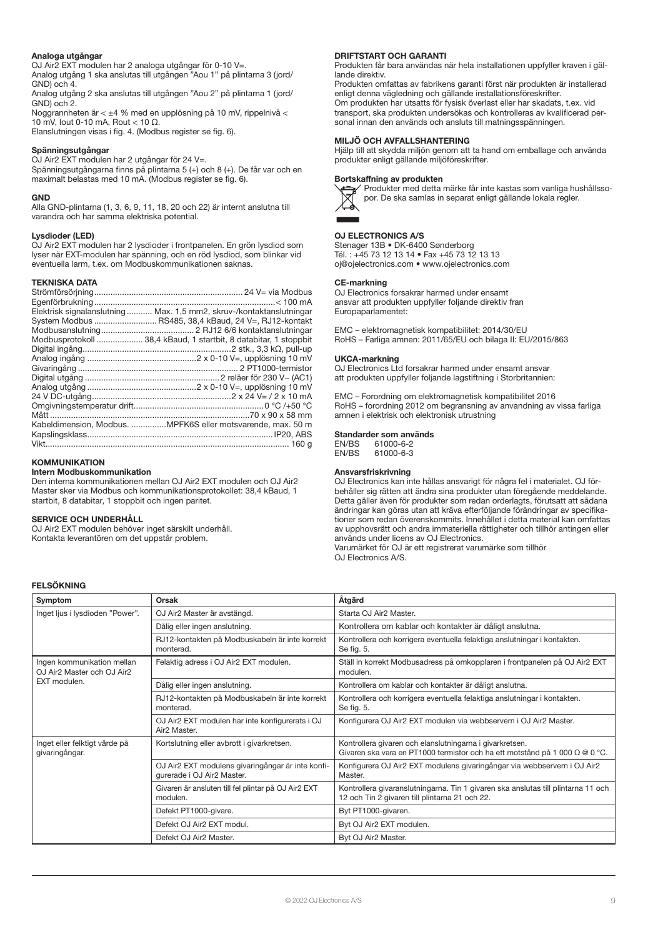#### Analoga utgångar

OJ Air2 EXT modulen har 2 analoga utgångar för 0-10 V=. Analog utgång 1 ska anslutas till utgången "Aou 1" på plintarna 3 (jord/ GND) och 4.

Analog utgång 2 ska anslutas till utgången "Aou 2" på plintarna 1 (jord/ GND) och 2.

Noggrannheten är < ±4 % med en upplösning på 10 mV, rippelnivå < 10 mV, Iout 0-10 mA, Rout < 10 Ω.

Elanslutningen visas i fig. 4. (Modbus register se fig. 6).

### Spänningsutgångar

OJ Air2 EXT modulen har 2 utgångar för 24 V=. Spänningsutgångarna finns på plintarna 5 (+) och 8 (+). De får var och en maximalt belastas med 10 mA. (Modbus register se fig. 6).

#### GND

Alla GND-plintarna (1, 3, 6, 9, 11, 18, 20 och 22) är internt anslutna till varandra och har samma elektriska potential.

#### Lysdioder (LED)

OJ Air2 EXT modulen har 2 lysdioder i frontpanelen. En grön lysdiod som lyser när EXT-modulen har spänning, och en röd lysdiod, som blinkar vid eventuella larm, t.ex. om Modbuskommunikationen saknas.

#### TEKNISKA DATA

| Elektrisk signalanslutning Max. 1,5 mm2, skruv-/kontaktanslutningar |
|---------------------------------------------------------------------|
|                                                                     |
|                                                                     |
| Modbusprotokoll  38,4 kBaud, 1 startbit, 8 databitar, 1 stoppbit    |
|                                                                     |
|                                                                     |
|                                                                     |
|                                                                     |
|                                                                     |
|                                                                     |
|                                                                     |
|                                                                     |
| Kabeldimension, Modbus. MPFK6S eller motsvarende, max. 50 m         |
|                                                                     |
|                                                                     |

# **KOMMUNIKATION**

#### Intern Modbuskommunikation

Den interna kommunikationen mellan OJ Air2 EXT modulen och OJ Air2 Master sker via Modbus och kommunikationsprotokollet: 38,4 kBaud, 1 startbit, 8 databitar, 1 stoppbit och ingen paritet.

#### SERVICE OCH UNDERHÅLL

OJ Air2 EXT modulen behöver inget särskilt underhåll. Kontakta leverantören om det uppstår problem.

#### DRIFTSTART OCH GARANTI

Produkten får bara användas när hela installationen uppfyller kraven i gällande direktiv.

Produkten omfattas av fabrikens garanti först när produkten är installerad enligt denna vägledning och gällande installationsföreskrifter. Om produkten har utsatts för fysisk överlast eller har skadats, t.ex. vid transport, ska produkten undersökas och kontrolleras av kvalificerad personal innan den används och ansluts till matningsspänningen.

## MILJÖ OCH AVFALLSHANTERING

Hjälp till att skydda miljön genom att ta hand om emballage och använda produkter enligt gällande miljöföreskrifter.

#### Bortskaffning av produkten



Produkter med detta märke får inte kastas som vanliga hushållssopor. De ska samlas in separat enligt gällande lokala regler.

# OJ ELECTRONICS A/S

Stenager 13B • DK-6400 Sønderborg Tél. : +45 73 12 13 14 • Fax +45 73 12 13 13 oj@ojelectronics.com • www.ojelectronics.com

#### CE-markning

OJ Electronics forsakrar harmed under ensamt ansvar att produkten uppfyller foljande direktiv fran Europaparlamentet:

EMC – elektromagnetisk kompatibilitet: 2014/30/EU RoHS – Farliga amnen: 2011/65/EU och bilaga II: EU/2015/863

#### UKCA-markning

OJ Electronics Ltd forsakrar harmed under ensamt ansvar att produkten uppfyller foljande lagstiftning i Storbritannien:

EMC – Forordning om elektromagnetisk kompatibilitet 2016 RoHS – forordning 2012 om begransning av anvandning av vissa farliga amnen i elektrisk och elektronisk utrustning

# Standarder som används<br>EN/BS 61000-6-2

EN/BS 61000-6-2<br>EN/BS 61000-6-3 61000-6-3

#### Ansvarsfriskrivning

OJ Electronics kan inte hållas ansvarigt för några fel i materialet. OJ förbehåller sig rätten att ändra sina produkter utan föregående meddelande. Detta gäller även för produkter som redan orderlagts, förutsatt att sådana ändringar kan göras utan att kräva efterföljande förändringar av specifikationer som redan överenskommits. Innehållet i detta material kan omfattas av upphovsrätt och andra immateriella rättigheter och tillhör antingen eller används under licens av OJ Electronics.

Varumärket för OJ är ett registrerat varumärke som tillhör OJ Electronics A/S.

# FELSÖKNING

| Symptom                                                  | <b>Orsak</b>                                                                    | Åtgärd                                                                                                                                               |  |
|----------------------------------------------------------|---------------------------------------------------------------------------------|------------------------------------------------------------------------------------------------------------------------------------------------------|--|
| Inget ljus i lysdioden "Power".                          | OJ Air2 Master är avstängd.                                                     | Starta OJ Air2 Master.                                                                                                                               |  |
|                                                          | Dålig eller ingen anslutning.                                                   | Kontrollera om kablar och kontakter är dåligt anslutna.                                                                                              |  |
|                                                          | RJ12-kontakten på Modbuskabeln är inte korrekt<br>monterad.                     | Kontrollera och korrigera eventuella felaktiga anslutningar i kontakten.<br>Se fig. 5.                                                               |  |
| Ingen kommunikation mellan<br>OJ Air2 Master och OJ Air2 | Felaktig adress i OJ Air2 EXT modulen.                                          | Ställ in korrekt Modbusadress på omkopplaren i frontpanelen på OJ Air2 EXT<br>modulen.                                                               |  |
| EXT modulen.                                             | Dålig eller ingen anslutning.                                                   | Kontrollera om kablar och kontakter är dåligt anslutna.                                                                                              |  |
|                                                          | RJ12-kontakten på Modbuskabeln är inte korrekt<br>monterad.                     | Kontrollera och korrigera eventuella felaktiga anslutningar i kontakten.<br>Se fig. 5.                                                               |  |
|                                                          | OJ Air2 EXT modulen har inte konfigurerats i OJ<br>Air <sub>2</sub> Master.     | Konfigurera OJ Air2 EXT modulen via webbservern i OJ Air2 Master.                                                                                    |  |
| Inget eller felktigt värde på<br>givaringångar.          | Kortslutning eller avbrott i givarkretsen.                                      | Kontrollera givaren och elanslutningarna i givarkretsen.<br>Givaren ska vara en PT1000 termistor och ha ett motstånd på 1 000 $\Omega \otimes 0$ °C. |  |
|                                                          | OJ Air2 EXT modulens givaringångar är inte konfi-<br>qurerade i OJ Air2 Master. | Konfigurera OJ Air2 EXT modulens givaringångar via webbservern i OJ Air2<br>Master.                                                                  |  |
|                                                          | Givaren är ansluten till fel plintar på OJ Air2 EXT<br>modulen.                 | Kontrollera givaranslutningarna. Tin 1 givaren ska anslutas till plintarna 11 och<br>12 och Tin 2 givaren till plintarna 21 och 22.                  |  |
|                                                          | Defekt PT1000-givare.                                                           | Byt PT1000-givaren.                                                                                                                                  |  |
|                                                          | Defekt OJ Air2 EXT modul.                                                       | Byt OJ Air2 EXT modulen.                                                                                                                             |  |
|                                                          | Defekt OJ Air2 Master.                                                          | Byt OJ Air2 Master.                                                                                                                                  |  |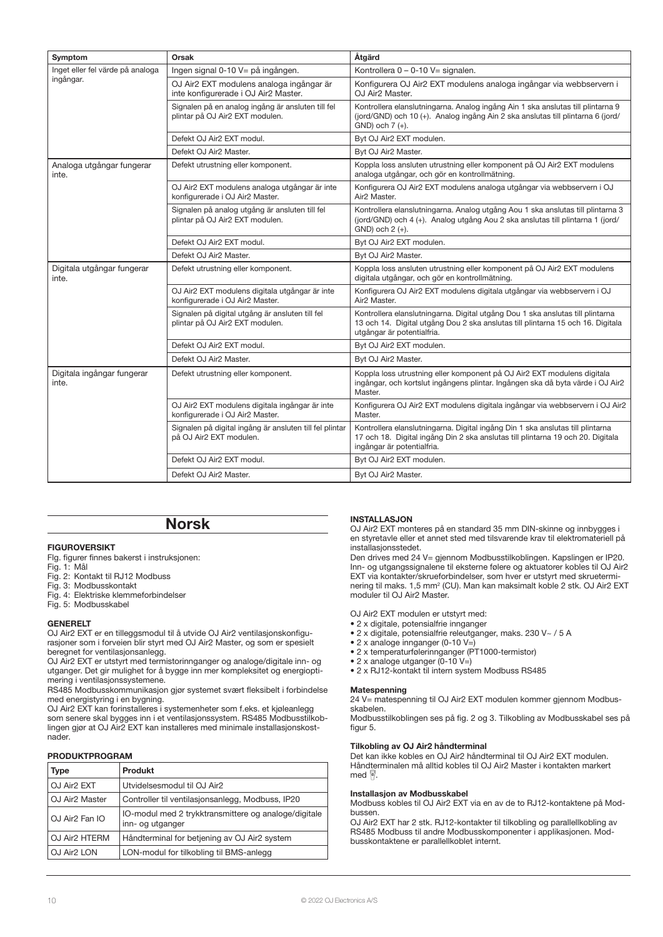| Symptom                             | Orsak                                                                                | Åtgärd                                                                                                                                                                                          |  |
|-------------------------------------|--------------------------------------------------------------------------------------|-------------------------------------------------------------------------------------------------------------------------------------------------------------------------------------------------|--|
| Inget eller fel värde på analoga    | Ingen signal 0-10 V= på ingången.                                                    | Kontrollera 0 - 0-10 V= signalen.                                                                                                                                                               |  |
| ingångar.                           | OJ Air2 EXT modulens analoga ingångar är<br>inte konfigurerade i OJ Air2 Master.     | Konfigurera OJ Air2 EXT modulens analoga ingångar via webbservern i<br>OJ Air2 Master.                                                                                                          |  |
|                                     | Signalen på en analog ingång är ansluten till fel<br>plintar på OJ Air2 EXT modulen. | Kontrollera elanslutningarna. Analog ingång Ain 1 ska anslutas till plintarna 9<br>(jord/GND) och 10 (+). Analog ingång Ain 2 ska anslutas till plintarna 6 (jord/<br>$GND$ ) och $7 (+)$ .     |  |
|                                     | Defekt OJ Air2 EXT modul.                                                            | Byt OJ Air2 EXT modulen.                                                                                                                                                                        |  |
|                                     | Defekt OJ Air2 Master.                                                               | Byt OJ Air2 Master.                                                                                                                                                                             |  |
| Analoga utgångar fungerar<br>inte.  | Defekt utrustning eller komponent.                                                   | Koppla loss ansluten utrustning eller komponent på OJ Air2 EXT modulens<br>analoga utgångar, och gör en kontrollmätning.                                                                        |  |
|                                     | OJ Air2 EXT modulens analoga utgångar är inte<br>konfigurerade i OJ Air2 Master.     | Konfigurera OJ Air2 EXT modulens analoga utgångar via webbservern i OJ<br>Air <sub>2</sub> Master.                                                                                              |  |
|                                     | Signalen på analog utgång är ansluten till fel<br>plintar på OJ Air2 EXT modulen.    | Kontrollera elanslutningarna. Analog utgång Aou 1 ska anslutas till plintarna 3<br>(jord/GND) och 4 (+). Analog utgång Aou 2 ska anslutas till plintarna 1 (jord/<br>GND) och 2 (+).            |  |
|                                     | Defekt OJ Air2 EXT modul.                                                            | Byt OJ Air2 EXT modulen.                                                                                                                                                                        |  |
|                                     | Defekt OJ Air2 Master.                                                               | Byt OJ Air2 Master.                                                                                                                                                                             |  |
| Digitala utgångar fungerar<br>inte. | Defekt utrustning eller komponent.                                                   | Koppla loss ansluten utrustning eller komponent på OJ Air2 EXT modulens<br>digitala utgångar, och gör en kontrollmätning.                                                                       |  |
|                                     | OJ Air2 EXT modulens digitala utgångar är inte<br>konfigurerade i OJ Air2 Master.    | Konfigurera OJ Air2 EXT modulens digitala utgångar via webbservern i OJ<br>Air <sub>2</sub> Master.                                                                                             |  |
|                                     | Signalen på digital utgång är ansluten till fel<br>plintar på OJ Air2 EXT modulen.   | Kontrollera elanslutningarna. Digital utgång Dou 1 ska anslutas till plintarna<br>13 och 14. Digital utgång Dou 2 ska anslutas till plintarna 15 och 16. Digitala<br>utgångar är potentialfria. |  |
|                                     | Defekt OJ Air2 EXT modul.                                                            | Byt OJ Air2 EXT modulen.                                                                                                                                                                        |  |
|                                     | Defekt OJ Air2 Master.                                                               | Byt OJ Air2 Master.                                                                                                                                                                             |  |
| Digitala ingångar fungerar<br>inte. | Defekt utrustning eller komponent.                                                   | Koppla loss utrustning eller komponent på OJ Air2 EXT modulens digitala<br>ingångar, och kortslut ingångens plintar. Ingången ska då byta värde i OJ Air2<br>Master.                            |  |
|                                     | OJ Air2 EXT modulens digitala ingångar är inte<br>konfigurerade i OJ Air2 Master.    | Konfigurera OJ Air2 EXT modulens digitala ingångar via webbservern i OJ Air2<br>Master.                                                                                                         |  |
|                                     | Signalen på digital ingång är ansluten till fel plintar<br>på OJ Air2 EXT modulen.   | Kontrollera elanslutningarna. Digital ingång Din 1 ska anslutas till plintarna<br>17 och 18. Digital ingång Din 2 ska anslutas till plintarna 19 och 20. Digitala<br>ingångar är potentialfria. |  |
|                                     | Defekt OJ Air2 EXT modul.                                                            | Byt OJ Air2 EXT modulen.                                                                                                                                                                        |  |
|                                     | Defekt OJ Air2 Master.                                                               | Byt OJ Air2 Master.                                                                                                                                                                             |  |

# Norsk

### FIGUROVERSIKT

Flg. figurer finnes bakerst i instruksjonen:

- Fig. 1: Mål
- Fig. 2: Kontakt til RJ12 Modbuss
- Fig. 3: Modbusskontakt
- Fig. 4: Elektriske klemmeforbindelser Fig. 5: Modbusskabel

### **GENERELT**

OJ Air2 EXT er en tilleggsmodul til å utvide OJ Air2 ventilasjonskonfigurasjoner som i forveien blir styrt med OJ Air2 Master, og som er spesielt beregnet for ventilasjonsanlegg.

OJ Air2 EXT er utstyrt med termistorinnganger og analoge/digitale inn- og utganger. Det gir mulighet for å bygge inn mer kompleksitet og energioptimering i ventilasjonssystemene.

RS485 Modbusskommunikasjon gjør systemet svært fleksibelt i forbindelse med energistyring i en bygning.

OJ Air2 EXT kan forinstalleres i systemenheter som f.eks. et kjøleanlegg som senere skal bygges inn i et ventilasjonssystem. RS485 Modbusstilkoblingen gjør at OJ Air2 EXT kan installeres med minimale installasjonskostnader.

# PRODUKTPROGRAM

| <b>Type</b>                | Produkt                                                                  |
|----------------------------|--------------------------------------------------------------------------|
| OJ Air <sub>2</sub> EXT    | Utvidelsesmodul til OJ Air2                                              |
| OJ Air <sub>2</sub> Master | Controller til ventilasjonsanlegg, Modbuss, IP20                         |
| OJ Air <sub>2</sub> Fan IO | IO-modul med 2 trykktransmittere og analoge/digitale<br>inn- og utganger |
| OJ Air <sub>2</sub> HTERM  | Håndterminal for betjening av OJ Air2 system                             |
| OJ Air <sub>2</sub> LON    | LON-modul for tilkobling til BMS-anlegg                                  |

# INSTALLASJON

OJ Air2 EXT monteres på en standard 35 mm DIN-skinne og innbygges i en styretavle eller et annet sted med tilsvarende krav til elektromateriell på installasjonsstedet.

Den drives med 24 V= gjennom Modbusstilkoblingen. Kapslingen er IP20. Inn- og utgangssignalene til eksterne følere og aktuatorer kobles til OJ Air2 EXT via kontakter/skrueforbindelser, som hver er utstyrt med skrueterminering til maks. 1,5 mm2 (CU). Man kan maksimalt koble 2 stk. OJ Air2 EXT moduler til OJ Air2 Master.

OJ Air2 EXT modulen er utstyrt med:

- 2 x digitale, potensialfrie innganger
- 2 x digitale, potensialfrie releutganger, maks. 230 V~ / 5 A
- 2 x analoge innganger (0-10 V=)
- 2 x temperaturfølerinnganger (PT1000-termistor)
- $\bullet$  2 x analoge utganger (0-10 V=)
- 2 x RJ12-kontakt til intern system Modbuss RS485

#### **Matespenning**

24 V= matespenning til OJ Air2 EXT modulen kommer gjennom Modbusskabelen.

Modbusstilkoblingen ses på fig. 2 og 3. Tilkobling av Modbusskabel ses på figur 5.

#### Tilkobling av OJ Air2 håndterminal

Det kan ikke kobles en OJ Air2 håndterminal til OJ Air2 EXT modulen. Håndterminalen må alltid kobles til OJ Air2 Master i kontakten markert  $med \nvert \nvert$ 

#### Installasjon av Modbusskabel

Modbuss kobles til OJ Air2 EXT via en av de to RJ12-kontaktene på Modbussen.

OJ Air2 EXT har 2 stk. RJ12-kontakter til tilkobling og parallellkobling av RS485 Modbuss til andre Modbusskomponenter i applikasjonen. Modbusskontaktene er parallellkoblet internt.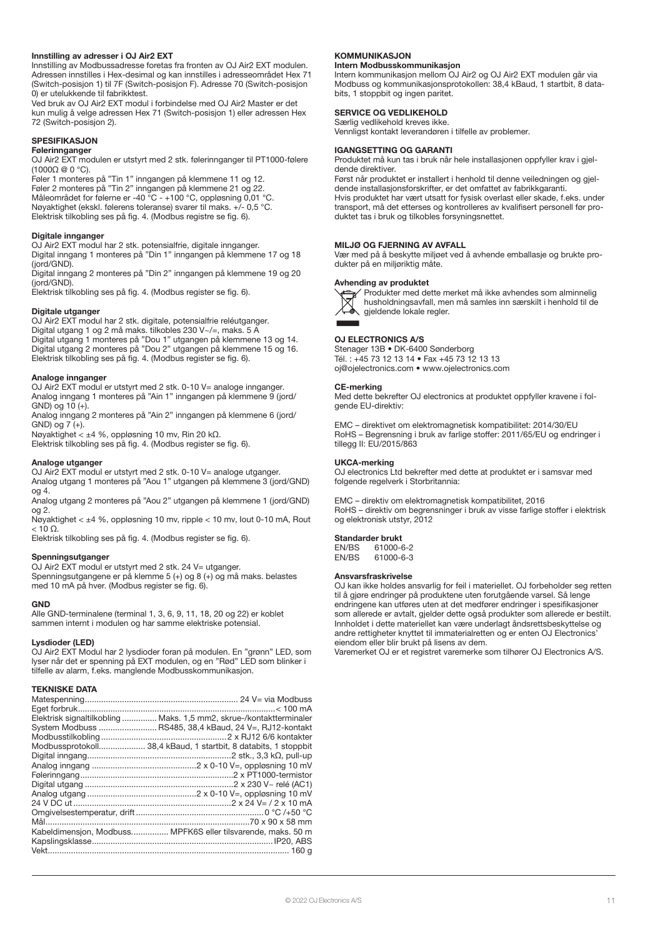# Innstilling av adresser i OJ Air2 EXT

Innstilling av Modbussadresse foretas fra fronten av OJ Air2 EXT modulen. Adressen innstilles i Hex-desimal og kan innstilles i adresseområdet Hex 71 (Switch-posisjon 1) til 7F (Switch-posisjon F). Adresse 70 (Switch-posisjon 0) er utelukkende til fabrikktest.

Ved bruk av OJ Air2 EXT modul i forbindelse med OJ Air2 Master er det kun mulig å velge adressen Hex 71 (Switch-posisjon 1) eller adressen Hex 72 (Switch-posisjon 2).

### SPESIFIKASJON

#### Følerinnganger

OJ Air2 EXT modulen er utstyrt med 2 stk. følerinnganger til PT1000-følere (1000Ω @ 0 °C).

Føler 1 monteres på "Tin 1" inngangen på klemmene 11 og 12. Føler 2 monteres på "Tin 2" inngangen på klemmene 21 og 22. Måleområdet for følerne er -40 °C - +100 °C, oppløsning 0,01 °C. Nøyaktighet (ekskl. følerens toleranse) svarer til maks. +/- 0,5 °C. Elektrisk tilkobling ses på fig. 4. (Modbus registre se fig. 6).

#### Digitale innganger

OJ Air2 EXT modul har 2 stk. potensialfrie, digitale innganger.

Digital inngang 1 monteres på "Din 1" inngangen på klemmene 17 og 18 (jord/GND).

Digital inngang 2 monteres på "Din 2" inngangen på klemmene 19 og 20 (jord/GND).

Elektrisk tilkobling ses på fig. 4. (Modbus register se fig. 6).

#### Digitale utganger

OJ Air2 EXT modul har 2 stk. digitale, potensialfrie reléutganger. Digital utgang 1 og 2 må maks. tilkobles 230 V~/=, maks. 5 A

Digital utgang 1 monteres på "Dou 1" utgangen på klemmene 13 og 14.

Digital utgang 2 monteres på "Dou 2" utgangen på klemmene 15 og 16. Elektrisk tilkobling ses på fig. 4. (Modbus register se fig. 6).

#### Analoge innganger

OJ Air2 EXT modul er utstyrt med 2 stk. 0-10 V= analoge innganger. Analog inngang 1 monteres på "Ain 1" inngangen på klemmene 9 (jord/  $GND$ ) og 10 (+).

Analog inngang 2 monteres på "Ain 2" inngangen på klemmene 6 (jord/  $GND$ ) og  $7 (+)$ .

Nøyaktighet < ±4 %, oppløsning 10 mv, Rin 20 kΩ.

Elektrisk tilkobling ses på fig. 4. (Modbus register se fig. 6).

### Analoge utganger

OJ Air2 EXT modul er utstyrt med 2 stk. 0-10 V= analoge utganger. Analog utgang 1 monteres på "Aou 1" utgangen på klemmene 3 (jord/GND) og 4.

Analog utgang 2 monteres på "Aou 2" utgangen på klemmene 1 (jord/GND) og 2.

Nøyaktighet < ±4 %, oppløsning 10 mv, ripple < 10 mv, Iout 0-10 mA, Rout  $< 10 \Omega$ .

Elektrisk tilkobling ses på fig. 4. (Modbus register se fig. 6).

#### Spenningsutganger

OJ Air2 EXT modul er utstyrt med 2 stk. 24 V= utganger. Spenningsutgangene er på klemme 5 (+) og 8 (+) og må maks. belastes med 10 mA på hver. (Modbus register se fig. 6).

# **GND**

Alle GND-terminalene (terminal 1, 3, 6, 9, 11, 18, 20 og 22) er koblet sammen internt i modulen og har samme elektriske potensial.

#### Lysdioder (LED)

OJ Air2 EXT Modul har 2 lysdioder foran på modulen. En "grønn" LED, som lyser når det er spenning på EXT modulen, og en "Rød" LED som blinker i tilfelle av alarm, f.eks. manglende Modbusskommunikasjon.

# TEKNISKE DATA

| Elektrisk signaltilkobling  Maks. 1,5 mm2, skrue-/kontaktterminaler |
|---------------------------------------------------------------------|
| System Modbuss  RS485, 38,4 kBaud, 24 V=, RJ12-kontakt              |
|                                                                     |
| Modbussprotokoll 38,4 kBaud, 1 startbit, 8 databits, 1 stoppbit     |
|                                                                     |
|                                                                     |
|                                                                     |
|                                                                     |
|                                                                     |
|                                                                     |
|                                                                     |
|                                                                     |
| Kabeldimensjon, Modbuss MPFK6S eller tilsvarende, maks. 50 m        |
|                                                                     |
|                                                                     |
|                                                                     |

#### KOMMUNIKASJON

# Intern Modbusskommunikasjon

Intern kommunikasjon mellom OJ Air2 og OJ Air2 EXT modulen går via Modbuss og kommunikasjonsprotokollen: 38,4 kBaud, 1 startbit, 8 databits, 1 stoppbit og ingen paritet.

# SERVICE OG VEDLIKEHOLD

Særlig vedlikehold kreves ikke. Vennligst kontakt leverandøren i tilfelle av problemer.

#### IGANGSETTING OG GARANTI

Produktet må kun tas i bruk når hele installasjonen oppfyller krav i gjeldende direktiver.

Først når produktet er installert i henhold til denne veiledningen og gjeldende installasjonsforskrifter, er det omfattet av fabrikkgaranti. Hvis produktet har vært utsatt for fysisk overlast eller skade, f.eks. under transport, må det etterses og kontrolleres av kvalifisert personell før produktet tas i bruk og tilkobles forsyningsnettet.

#### MILJØ OG FJERNING AV AVFALL

Vær med på å beskytte miljøet ved å avhende emballasje og brukte produkter på en miljøriktig måte.

#### Avhending av produktet



Produkter med dette merket må ikke avhendes som alminnelig husholdningsavfall, men må samles inn særskilt i henhold til de gjeldende lokale regler.

#### OJ ELECTRONICS A/S

Stenager 13B • DK-6400 Sønderborg Tél. : +45 73 12 13 14 • Fax +45 73 12 13 13 oj@ojelectronics.com • www.ojelectronics.com

#### CE-merking

Med dette bekrefter OJ electronics at produktet oppfyller kravene i folgende EU-direktiv:

EMC – direktivet om elektromagnetisk kompatibilitet: 2014/30/EU RoHS – Begrensning i bruk av farlige stoffer: 2011/65/EU og endringer i tillegg II: EU/2015/863

#### UKCA-merking

OJ electronics Ltd bekrefter med dette at produktet er i samsvar med folgende regelverk i Storbritannia:

EMC – direktiv om elektromagnetisk kompatibilitet, 2016 RoHS – direktiv om begrensninger i bruk av visse farlige stoffer i elektrisk og elektronisk utstyr, 2012

# Standarder brukt<br>FN/BS 61000-6

EN/BS 61000-6-2  $61000 - 6 - 3$ 

#### Ansvarsfraskrivelse

OJ kan ikke holdes ansvarlig for feil i materiellet. OJ forbeholder seg retten til å gjøre endringer på produktene uten forutgående varsel. Så lenge endringene kan utføres uten at det medfører endringer i spesifikasjoner som allerede er avtalt, gjelder dette også produkter som allerede er bestilt. Innholdet i dette materiellet kan være underlagt åndsrettsbeskyttelse og andre rettigheter knyttet til immaterialretten og er enten OJ Electronics' eiendom eller blir brukt på lisens av dem.

Varemerket OJ er et registret varemerke som tilhører OJ Electronics A/S.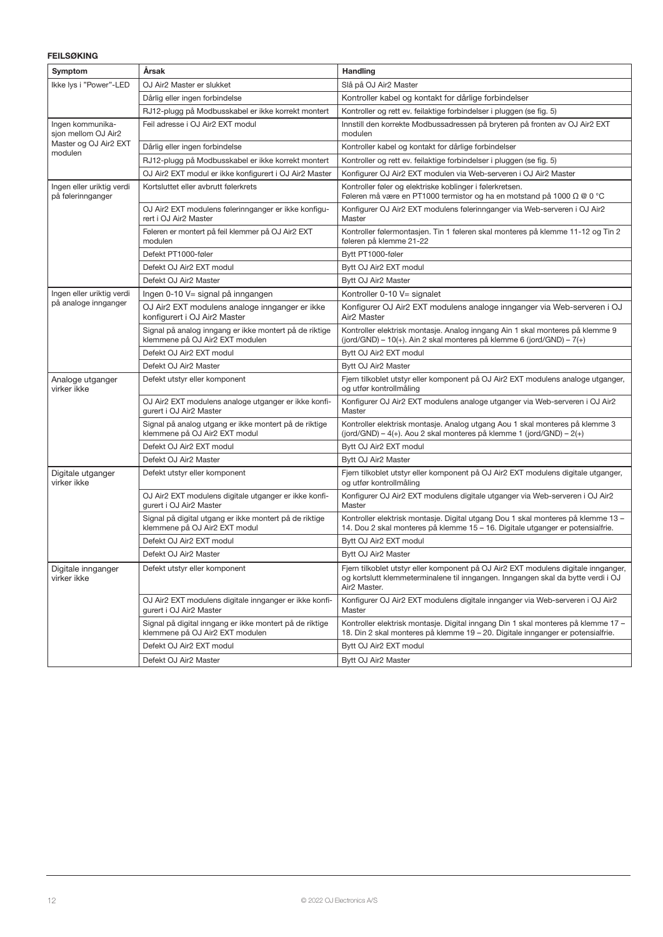# FEILSØKING

| Symptom                                        | Årsak                                                                                      | Handling                                                                                                                                                                                           |  |  |
|------------------------------------------------|--------------------------------------------------------------------------------------------|----------------------------------------------------------------------------------------------------------------------------------------------------------------------------------------------------|--|--|
| Ikke lys i "Power"-LED                         | OJ Air2 Master er slukket                                                                  | Slå på OJ Air2 Master                                                                                                                                                                              |  |  |
|                                                | Dårlig eller ingen forbindelse                                                             | Kontroller kabel og kontakt for dårlige forbindelser                                                                                                                                               |  |  |
|                                                | RJ12-plugg på Modbusskabel er ikke korrekt montert                                         | Kontroller og rett ev. feilaktige forbindelser i pluggen (se fig. 5)                                                                                                                               |  |  |
| Ingen kommunika-<br>sjon mellom OJ Air2        | Feil adresse i OJ Air2 EXT modul                                                           | Innstill den korrekte Modbussadressen på bryteren på fronten av OJ Air2 EXT<br>modulen                                                                                                             |  |  |
| Master og OJ Air2 EXT<br>modulen               | Dårlig eller ingen forbindelse                                                             | Kontroller kabel og kontakt for dårlige forbindelser                                                                                                                                               |  |  |
|                                                | RJ12-plugg på Modbusskabel er ikke korrekt montert                                         | Kontroller og rett ev. feilaktige forbindelser i pluggen (se fig. 5)                                                                                                                               |  |  |
|                                                | OJ Air2 EXT modul er ikke konfigurert i OJ Air2 Master                                     | Konfigurer OJ Air2 EXT modulen via Web-serveren i OJ Air2 Master                                                                                                                                   |  |  |
| Ingen eller uriktig verdi<br>på følerinnganger | Kortsluttet eller avbrutt følerkrets                                                       | Kontroller føler og elektriske koblinger i følerkretsen.<br>Føleren må være en PT1000 termistor og ha en motstand på 1000 $\Omega \otimes 0$ °C                                                    |  |  |
|                                                | OJ Air2 EXT modulens følerinnganger er ikke konfigu-<br>rert i OJ Air2 Master              | Konfigurer OJ Air2 EXT modulens følerinnganger via Web-serveren i OJ Air2<br>Master                                                                                                                |  |  |
|                                                | Føleren er montert på feil klemmer på OJ Air2 EXT<br>modulen                               | Kontroller følermontasjen. Tin 1 føleren skal monteres på klemme 11-12 og Tin 2<br>føleren på klemme 21-22                                                                                         |  |  |
|                                                | Defekt PT1000-føler                                                                        | Bytt PT1000-føler                                                                                                                                                                                  |  |  |
|                                                | Defekt OJ Air2 EXT modul                                                                   | Bytt OJ Air2 EXT modul                                                                                                                                                                             |  |  |
|                                                | Defekt OJ Air2 Master                                                                      | Bytt OJ Air2 Master                                                                                                                                                                                |  |  |
| Ingen eller uriktig verdi                      | Ingen 0-10 V= signal på inngangen                                                          | Kontroller 0-10 V= signalet                                                                                                                                                                        |  |  |
| på analoge innganger                           | OJ Air2 EXT modulens analoge innganger er ikke<br>konfigurert i OJ Air2 Master             | Konfigurer OJ Air2 EXT modulens analoge innganger via Web-serveren i OJ<br>Air <sub>2</sub> Master                                                                                                 |  |  |
|                                                | Signal på analog inngang er ikke montert på de riktige<br>klemmene på OJ Air2 EXT modulen  | Kontroller elektrisk montasje. Analog inngang Ain 1 skal monteres på klemme 9<br>(jord/GND) - 10(+). Ain 2 skal monteres på klemme 6 (jord/GND) - 7(+)                                             |  |  |
|                                                | Defekt OJ Air2 EXT modul                                                                   | Bytt OJ Air2 EXT modul                                                                                                                                                                             |  |  |
|                                                | Defekt OJ Air2 Master                                                                      | Bytt OJ Air2 Master                                                                                                                                                                                |  |  |
| Analoge utganger<br>virker ikke                | Defekt utstyr eller komponent                                                              | Fjern tilkoblet utstyr eller komponent på OJ Air2 EXT modulens analoge utganger,<br>og utfør kontrollmåling                                                                                        |  |  |
|                                                | OJ Air2 EXT modulens analoge utganger er ikke konfi-<br>gurert i OJ Air2 Master            | Konfigurer OJ Air2 EXT modulens analoge utganger via Web-serveren i OJ Air2<br>Master                                                                                                              |  |  |
|                                                | Signal på analog utgang er ikke montert på de riktige<br>klemmene på OJ Air2 EXT modul     | Kontroller elektrisk montasje. Analog utgang Aou 1 skal monteres på klemme 3<br>(jord/GND) – 4(+). Aou 2 skal monteres på klemme 1 (jord/GND) – 2(+)                                               |  |  |
|                                                | Defekt OJ Air2 EXT modul                                                                   | Bytt OJ Air2 EXT modul                                                                                                                                                                             |  |  |
|                                                | Defekt OJ Air2 Master                                                                      | Bytt OJ Air2 Master                                                                                                                                                                                |  |  |
| Digitale utganger<br>virker ikke               | Defekt utstyr eller komponent                                                              | Fjern tilkoblet utstyr eller komponent på OJ Air2 EXT modulens digitale utganger,<br>og utfør kontrollmåling                                                                                       |  |  |
|                                                | OJ Air2 EXT modulens digitale utganger er ikke konfi-<br>gurert i OJ Air2 Master           | Konfigurer OJ Air2 EXT modulens digitale utganger via Web-serveren i OJ Air2<br>Master                                                                                                             |  |  |
|                                                | Signal på digital utgang er ikke montert på de riktige<br>klemmene på OJ Air2 EXT modul    | Kontroller elektrisk montasje. Digital utgang Dou 1 skal monteres på klemme 13 -<br>14. Dou 2 skal monteres på klemme 15 – 16. Digitale utganger er potensialfrie.                                 |  |  |
|                                                | Defekt OJ Air2 EXT modul                                                                   | Bytt OJ Air2 EXT modul                                                                                                                                                                             |  |  |
|                                                | Defekt OJ Air2 Master                                                                      | Bytt OJ Air2 Master                                                                                                                                                                                |  |  |
| Digitale innganger<br>virker ikke              | Defekt utstyr eller komponent                                                              | Fjern tilkoblet utstyr eller komponent på OJ Air2 EXT modulens digitale innganger,<br>og kortslutt klemmeterminalene til inngangen. Inngangen skal da bytte verdi i OJ<br>Air <sub>2</sub> Master. |  |  |
|                                                | OJ Air2 EXT modulens digitale innganger er ikke konfi-<br>gurert i OJ Air2 Master          | Konfigurer OJ Air2 EXT modulens digitale innganger via Web-serveren i OJ Air2<br>Master                                                                                                            |  |  |
|                                                | Signal på digital inngang er ikke montert på de riktige<br>klemmene på OJ Air2 EXT modulen | Kontroller elektrisk montasje. Digital inngang Din 1 skal monteres på klemme 17 -<br>18. Din 2 skal monteres på klemme 19 – 20. Digitale innganger er potensialfrie.                               |  |  |
|                                                | Defekt OJ Air2 EXT modul                                                                   | Bytt OJ Air2 EXT modul                                                                                                                                                                             |  |  |
|                                                | Defekt OJ Air2 Master                                                                      | Bytt OJ Air2 Master                                                                                                                                                                                |  |  |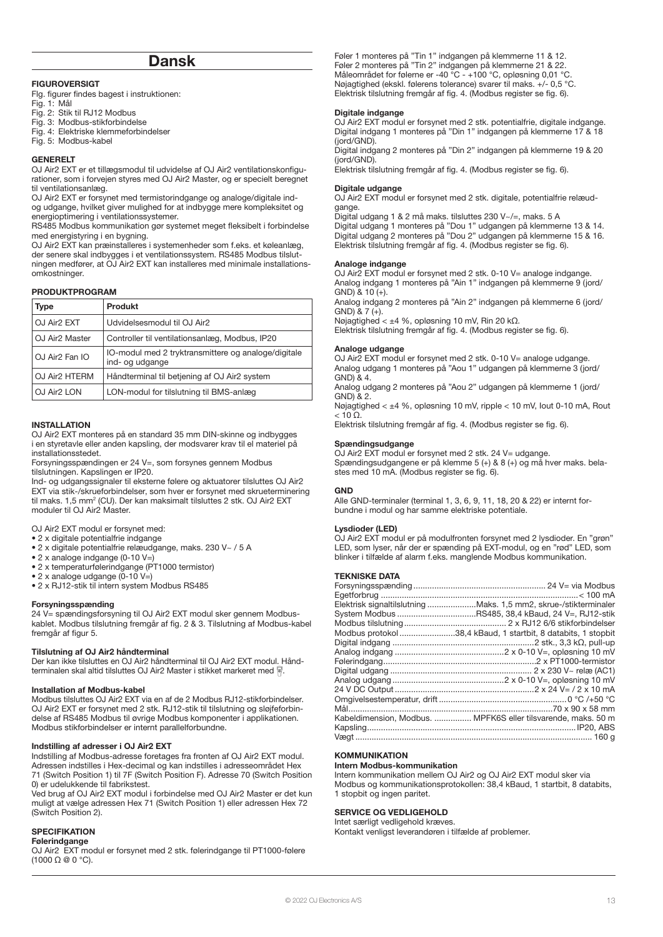# Dansk

### FIGUROVERSIGT

Flg. figurer findes bagest i instruktionen:

- Fig. 1: Mål
- Fig. 2: Stik til RJ12 Modbus
- Fig. 3: Modbus-stikforbindelse Fig. 4: Elektriske klemmeforbindelser
- 
- Fig. 5: Modbus-kabel

#### GENERELT

OJ Air2 EXT er et tillægsmodul til udvidelse af OJ Air2 ventilationskonfigurationer, som i forvejen styres med OJ Air2 Master, og er specielt beregnet til ventilationsanlæg.

OJ Air2 EXT er forsynet med termistorindgange og analoge/digitale indog udgange, hvilket giver mulighed for at indbygge mere kompleksitet og energioptimering i ventilationssystemer.

RS485 Modbus kommunikation gør systemet meget fleksibelt i forbindelse med energistyring i en bygning.

OJ Air2 EXT kan præinstalleres i systemenheder som f.eks. et køleanlæg, der senere skal indbygges i et ventilationssystem. RS485 Modbus tilslutningen medfører, at OJ Air2 EXT kan installeres med minimale installationsomkostninger.

#### PRODUKTPROGRAM

| <b>Type</b>                | <b>Produkt</b>                                                         |
|----------------------------|------------------------------------------------------------------------|
| OJ Air <sub>2</sub> EXT    | Udvidelsesmodul til OJ Air2                                            |
| OJ Air <sub>2</sub> Master | Controller til ventilationsanlæg, Modbus, IP20                         |
| OJ Air <sub>2</sub> Fan IO | IO-modul med 2 tryktransmittere og analoge/digitale<br>ind- og udgange |
| OJ Air <sub>2</sub> HTERM  | Håndterminal til betjening af OJ Air2 system                           |
| OJ Air <sub>2</sub> LON    | LON-modul for tilslutning til BMS-anlæg                                |

#### **INSTALLATION**

OJ Air2 EXT monteres på en standard 35 mm DIN-skinne og indbygges i en styretavle eller anden kapsling, der modsvarer krav til el materiel på installationsstedet.

Forsyningsspændingen er 24 V=, som forsynes gennem Modbus tilslutningen. Kapslingen er IP20.

Ind- og udgangssignaler til eksterne følere og aktuatorer tilsluttes OJ Air2 EXT via stik-/skrueforbindelser, som hver er forsynet med skrueterminering til maks. 1,5 mm2 (CU). Der kan maksimalt tilsluttes 2 stk. OJ Air2 EXT moduler til OJ Air2 Master.

OJ Air2 EXT modul er forsynet med:

• 2 x digitale potentialfrie indgange

- 2 x digitale potentialfrie relæudgange, maks. 230 V~ / 5 A
- 2 x analoge indgange (0-10 V=)
- 2 x temperaturfølerindgange (PT1000 termistor)
- 2 x analoge udgange (0-10 V=)
- 2 x RJ12-stik til intern system Modbus RS485

#### Forsyningsspænding

24 V= spændingsforsyning til OJ Air2 EXT modul sker gennem Modbuskablet. Modbus tilslutning fremgår af fig. 2 & 3. Tilslutning af Modbus-kabel fremgår af figur 5.

#### Tilslutning af OJ Air2 håndterminal

Der kan ikke tilsluttes en OJ Air2 håndterminal til OJ Air2 EXT modul. Håndterminalen skal altid tilsluttes OJ Air2 Master i stikket markeret med .

#### Installation af Modbus-kabel

Modbus tilsluttes OJ Air2 EXT via en af de 2 Modbus RJ12-stikforbindelser. OJ Air2 EXT er forsynet med 2 stk. RJ12-stik til tilslutning og sløjfeforbindelse af RS485 Modbus til øvrige Modbus komponenter i applikationen. Modbus stikforbindelser er internt parallelforbundne.

#### Indstilling af adresser i OJ Air2 EXT

Indstilling af Modbus-adresse foretages fra fronten af OJ Air2 EXT modul. Adressen indstilles i Hex-decimal og kan indstilles i adresseområdet Hex 71 (Switch Position 1) til 7F (Switch Position F). Adresse 70 (Switch Position 0) er udelukkende til fabrikstest.

Ved brug af OJ Air2 EXT modul i forbindelse med OJ Air2 Master er det kun muligt at vælge adressen Hex 71 (Switch Position 1) eller adressen Hex 72 (Switch Position 2).

#### **SPECIFIKATION**

# Følerindgange

OJ Air2 EXT modul er forsynet med 2 stk. følerindgange til PT1000-følere (1000 Ω @ 0 °C).

Føler 1 monteres på "Tin 1" indgangen på klemmerne 11 & 12. Føler 2 monteres på "Tin 2" indgangen på klemmerne 21 & 22. Måleområdet for følerne er -40 °C - +100 °C, opløsning 0,01 °C. Nøjagtighed (ekskl. følerens tolerance) svarer til maks. +/- 0,5 °C. Elektrisk tilslutning fremgår af fig. 4. (Modbus register se fig. 6).

#### Digitale indgange

OJ Air2 EXT modul er forsynet med 2 stk. potentialfrie, digitale indgange. Digital indgang 1 monteres på "Din 1" indgangen på klemmerne 17 & 18 (jord/GND).

Digital indgang 2 monteres på "Din 2" indgangen på klemmerne 19 & 20 (jord/GND).

Elektrisk tilslutning fremgår af fig. 4. (Modbus register se fig. 6).

#### Digitale udgange

OJ Air2 EXT modul er forsynet med 2 stk. digitale, potentialfrie relæudgange.

Digital udgang 1 & 2 må maks. tilsluttes 230 V~/=, maks. 5 A Digital udgang 1 monteres på "Dou 1" udgangen på klemmerne 13 & 14.

Digital udgang 2 monteres på "Dou 2" udgangen på klemmerne 15 & 16. Elektrisk tilslutning fremgår af fig. 4. (Modbus register se fig. 6).

#### Analoge indgange

OJ Air2 EXT modul er forsynet med 2 stk. 0-10 V= analoge indgange. Analog indgang 1 monteres på "Ain 1" indgangen på klemmerne 9 (jord/ GND) & 10 (+).

Analog indgang 2 monteres på "Ain 2" indgangen på klemmerne 6 (jord/ GND)  $\& 7 (+)$ .

Nøjagtighed < ±4 %, opløsning 10 mV, Rin 20 kΩ.

Elektrisk tilslutning fremgår af fig. 4. (Modbus register se fig. 6).

#### Analoge udgange

OJ Air2 EXT modul er forsynet med 2 stk. 0-10 V= analoge udgange. Analog udgang 1 monteres på "Aou 1" udgangen på klemmerne 3 (jord/ GND) & 4.

Analog udgang 2 monteres på "Aou 2" udgangen på klemmerne 1 (jord/ GND) & 2.

Nøjagtighed < ±4 %, opløsning 10 mV, ripple < 10 mV, Iout 0-10 mA, Rout  $< 10$   $\Omega$ .

Elektrisk tilslutning fremgår af fig. 4. (Modbus register se fig. 6).

#### Spændingsudgange

OJ Air2 EXT modul er forsynet med 2 stk. 24 V= udgange. Spændingsudgangene er på klemme 5 (+) & 8 (+) og må hver maks. belastes med 10 mA. (Modbus register se fig. 6).

#### **GND**

Alle GND-terminaler (terminal 1, 3, 6, 9, 11, 18, 20 & 22) er internt forbundne i modul og har samme elektriske potentiale.

## Lysdioder (LED)

OJ Air2 EXT modul er på modulfronten forsynet med 2 lysdioder. En "grøn" LED, som lyser, når der er spænding på EXT-modul, og en "rød" LED, som blinker i tilfælde af alarm f.eks. manglende Modbus kommunikation.

#### TEKNISKE DATA

| Elektrisk signaltilslutning Maks. 1,5 mm2, skrue-/stikterminaler |
|------------------------------------------------------------------|
|                                                                  |
|                                                                  |
| Modbus protokol 38,4 kBaud, 1 startbit, 8 databits, 1 stopbit    |
|                                                                  |
|                                                                  |
|                                                                  |
|                                                                  |
|                                                                  |
|                                                                  |
|                                                                  |
|                                                                  |
| Kabeldimension, Modbus.  MPFK6S eller tilsvarende, maks. 50 m    |
|                                                                  |
|                                                                  |
|                                                                  |

# **KOMMUNIKATION**

# Intern Modbus-kommunikation

Intern kommunikation mellem OJ Air2 og OJ Air2 EXT modul sker via Modbus og kommunikationsprotokollen: 38,4 kBaud, 1 startbit, 8 databits, 1 stopbit og ingen paritet.

# SERVICE OG VEDLIGEHOLD

Intet særligt vedligehold kræves.

Kontakt venligst leverandøren i tilfælde af problemer.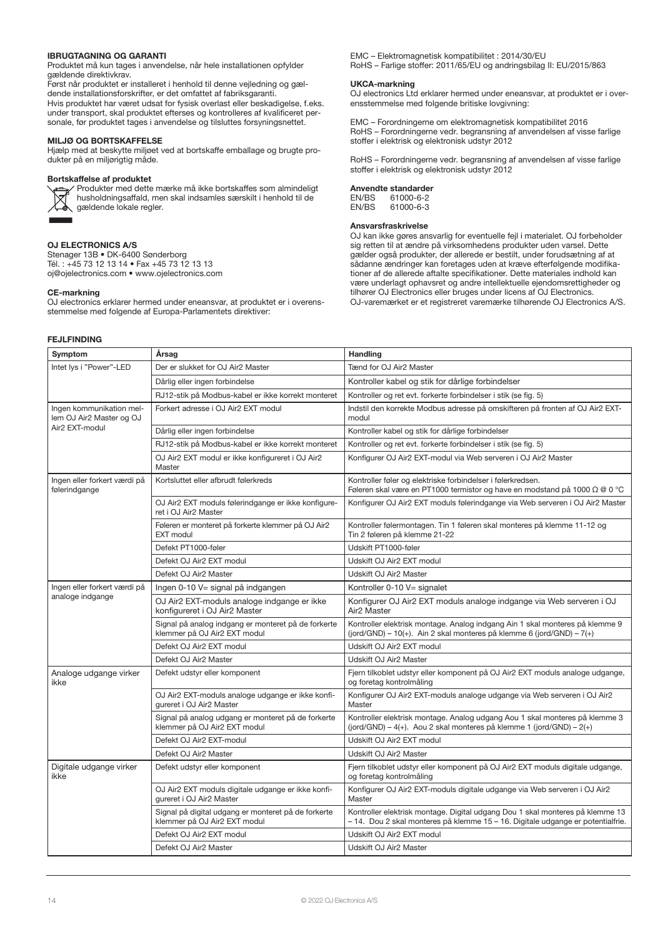#### IBRUGTAGNING OG GARANTI

Produktet må kun tages i anvendelse, når hele installationen opfylder gældende direktivkrav.

Først når produktet er installeret i henhold til denne vejledning og gældende installationsforskrifter, er det omfattet af fabriksgaranti. Hvis produktet har været udsat for fysisk overlast eller beskadigelse, f.eks. under transport, skal produktet efterses og kontrolleres af kvalificeret personale, før produktet tages i anvendelse og tilsluttes forsyningsnettet.

#### MILJØ OG BORTSKAFFELSE

Hjælp med at beskytte miljøet ved at bortskaffe emballage og brugte produkter på en miljørigtig måde.

#### Bortskaffelse af produktet



Produkter med dette mærke må ikke bortskaffes som almindeligt husholdningsaffald, men skal indsamles særskilt i henhold til de gældende lokale regler.

# OJ ELECTRONICS A/S

Stenager 13B • DK-6400 Sønderborg Tél. : +45 73 12 13 14 • Fax +45 73 12 13 13 oj@ojelectronics.com • www.ojelectronics.com

### CE-markning

OJ electronics erklarer hermed under eneansvar, at produktet er i overensstemmelse med folgende af Europa-Parlamentets direktiver:

## FEJLFINDING

EMC – Elektromagnetisk kompatibilitet : 2014/30/EU RoHS – Farlige stoffer: 2011/65/EU og andringsbilag II: EU/2015/863

#### UKCA-markning

OJ electronics Ltd erklarer hermed under eneansvar, at produktet er i overensstemmelse med folgende britiske lovgivning:

EMC – Forordningerne om elektromagnetisk kompatibilitet 2016 RoHS – Forordningerne vedr. begransning af anvendelsen af visse farlige stoffer i elektrisk og elektronisk udstyr 2012

RoHS – Forordningerne vedr. begransning af anvendelsen af visse farlige stoffer i elektrisk og elektronisk udstyr 2012

# Anvendte standarder<br>FN/BS 61000-6-2

EN/BS 61000-6-2<br>EN/BS 61000-6-3 61000-6-3

# Ansvarsfraskrivelse

OJ kan ikke gøres ansvarlig for eventuelle fejl i materialet. OJ forbeholder sig retten til at ændre på virksomhedens produkter uden varsel. Dette gælder også produkter, der allerede er bestilt, under forudsætning af at sådanne ændringer kan foretages uden at kræve efterfølgende modifikationer af de allerede aftalte specifikationer. Dette materiales indhold kan være underlagt ophavsret og andre intellektuelle ejendomsrettigheder og tilhører OJ Electronics eller bruges under licens af OJ Electronics. OJ-varemærket er et registreret varemærke tilhørende OJ Electronics A/S.

| Symptom                                              | Årsag                                                                               | Handling                                                                                                                                                         |  |
|------------------------------------------------------|-------------------------------------------------------------------------------------|------------------------------------------------------------------------------------------------------------------------------------------------------------------|--|
| Intet lys i "Power"-LED                              | Der er slukket for OJ Air2 Master                                                   | Tænd for OJ Air2 Master                                                                                                                                          |  |
|                                                      | Dårlig eller ingen forbindelse                                                      | Kontroller kabel og stik for dårlige forbindelser                                                                                                                |  |
|                                                      | RJ12-stik på Modbus-kabel er ikke korrekt monteret                                  | Kontroller og ret evt. forkerte forbindelser i stik (se fig. 5)                                                                                                  |  |
| Ingen kommunikation mel-<br>lem OJ Air2 Master og OJ | Forkert adresse i OJ Air2 EXT modul                                                 | Indstil den korrekte Modbus adresse på omskifteren på fronten af OJ Air2 EXT-<br>modul                                                                           |  |
| Air2 EXT-modul                                       | Dårlig eller ingen forbindelse                                                      | Kontroller kabel og stik for dårlige forbindelser                                                                                                                |  |
|                                                      | RJ12-stik på Modbus-kabel er ikke korrekt monteret                                  | Kontroller og ret evt. forkerte forbindelser i stik (se fig. 5)                                                                                                  |  |
|                                                      | OJ Air2 EXT modul er ikke konfigureret i OJ Air2<br>Master                          | Konfigurer OJ Air2 EXT-modul via Web serveren i OJ Air2 Master                                                                                                   |  |
| Ingen eller forkert værdi på<br>følerindgange        | Kortsluttet eller afbrudt følerkreds                                                | Kontroller føler og elektriske forbindelser i følerkredsen.<br>Føleren skal være en PT1000 termistor og have en modstand på 1000 Ω @ 0 °C                        |  |
|                                                      | OJ Air2 EXT moduls følerindgange er ikke konfigure-<br>ret i OJ Air2 Master         | Konfigurer OJ Air2 EXT moduls følerindgange via Web serveren i OJ Air2 Master                                                                                    |  |
|                                                      | Føleren er monteret på forkerte klemmer på OJ Air2<br><b>EXT</b> modul              | Kontroller følermontagen. Tin 1 føleren skal monteres på klemme 11-12 og<br>Tin 2 føleren på klemme 21-22                                                        |  |
|                                                      | Defekt PT1000-føler                                                                 | Udskift PT1000-føler                                                                                                                                             |  |
|                                                      | Defekt OJ Air2 EXT modul                                                            | Udskift OJ Air2 EXT modul                                                                                                                                        |  |
|                                                      | Defekt OJ Air2 Master                                                               | Udskift OJ Air2 Master                                                                                                                                           |  |
| Ingen eller forkert værdi på                         | Ingen 0-10 V= signal på indgangen                                                   | Kontroller 0-10 V= signalet                                                                                                                                      |  |
| analoge indgange                                     | OJ Air2 EXT-moduls analoge indgange er ikke<br>konfigureret i OJ Air2 Master        | Konfigurer OJ Air2 EXT moduls analoge indgange via Web serveren i OJ<br>Air <sub>2</sub> Master                                                                  |  |
|                                                      | Signal på analog indgang er monteret på de forkerte<br>klemmer på OJ Air2 EXT modul | Kontroller elektrisk montage. Analog indgang Ain 1 skal monteres på klemme 9<br>(jord/GND) – 10(+). Ain 2 skal monteres på klemme 6 (jord/GND) – 7(+)            |  |
|                                                      | Defekt OJ Air2 EXT modul                                                            | Udskift OJ Air2 EXT modul                                                                                                                                        |  |
|                                                      | Defekt OJ Air2 Master                                                               | Udskift OJ Air2 Master                                                                                                                                           |  |
| Analoge udgange virker<br>ikke                       | Defekt udstyr eller komponent                                                       | Fjern tilkoblet udstyr eller komponent på OJ Air2 EXT moduls analoge udgange,<br>og foretag kontrolmåling                                                        |  |
|                                                      | OJ Air2 EXT-moduls analoge udgange er ikke konfi-<br>qureret i OJ Air2 Master       | Konfigurer OJ Air2 EXT-moduls analoge udgange via Web serveren i OJ Air2<br>Master                                                                               |  |
|                                                      | Signal på analog udgang er monteret på de forkerte<br>klemmer på OJ Air2 EXT modul  | Kontroller elektrisk montage. Analog udgang Aou 1 skal monteres på klemme 3<br>(jord/GND) – 4(+). Aou 2 skal monteres på klemme 1 (jord/GND) – 2(+)              |  |
|                                                      | Defekt OJ Air2 EXT-modul                                                            | Udskift OJ Air2 EXT modul                                                                                                                                        |  |
|                                                      | Defekt OJ Air2 Master                                                               | Udskift OJ Air2 Master                                                                                                                                           |  |
| Digitale udgange virker<br>ikke                      | Defekt udstyr eller komponent                                                       | Fjern tilkoblet udstyr eller komponent på OJ Air2 EXT moduls digitale udgange,<br>og foretag kontrolmåling                                                       |  |
|                                                      | OJ Air2 EXT moduls digitale udgange er ikke konfi-<br>qureret i OJ Air2 Master      | Konfigurer OJ Air2 EXT-moduls digitale udgange via Web serveren i OJ Air2<br>Master                                                                              |  |
|                                                      | Signal på digital udgang er monteret på de forkerte<br>klemmer på OJ Air2 EXT modul | Kontroller elektrisk montage. Digital udgang Dou 1 skal monteres på klemme 13<br>- 14. Dou 2 skal monteres på klemme 15 - 16. Digitale udgange er potentialfrie. |  |
|                                                      | Defekt OJ Air2 EXT modul                                                            | Udskift OJ Air2 EXT modul                                                                                                                                        |  |
|                                                      | Defekt OJ Air2 Master                                                               | Udskift OJ Air2 Master                                                                                                                                           |  |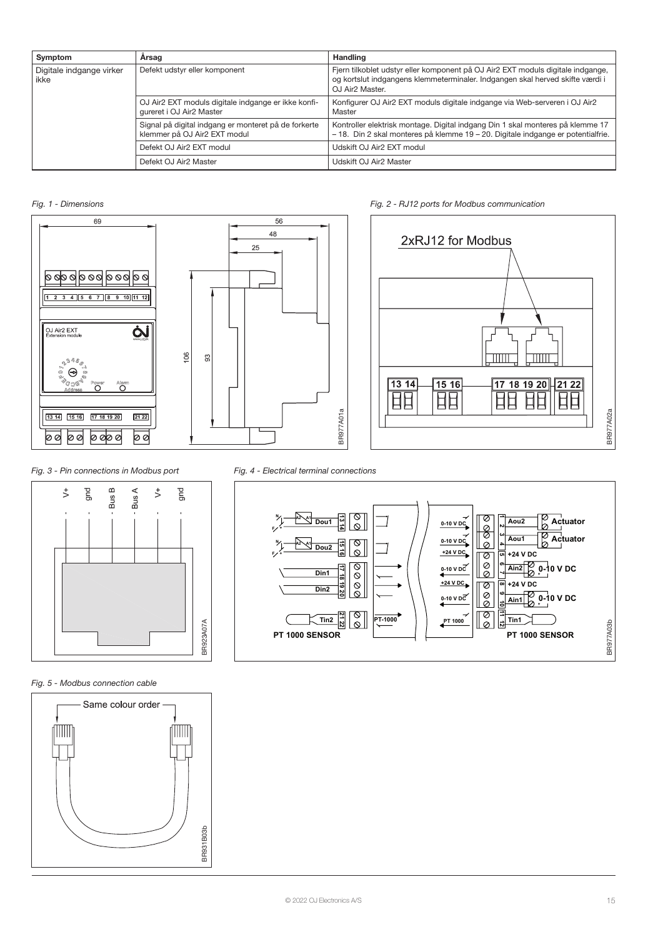| Symptom<br>Arsag                 |                                                                                      | Handling                                                                                                                                                                                        |  |
|----------------------------------|--------------------------------------------------------------------------------------|-------------------------------------------------------------------------------------------------------------------------------------------------------------------------------------------------|--|
| Digitale indgange virker<br>ikke | Defekt udstyr eller komponent                                                        | Fjern tilkoblet udstyr eller komponent på OJ Air2 EXT moduls digitale indgange,<br>og kortslut indgangens klemmeterminaler. Indgangen skal herved skifte værdi i<br>OJ Air <sub>2</sub> Master. |  |
|                                  | OJ Air2 EXT moduls digitale indgange er ikke konfi-<br>qureret i OJ Air2 Master      | Konfigurer OJ Air2 EXT moduls digitale indgange via Web-serveren i OJ Air2<br>Master                                                                                                            |  |
|                                  | Signal på digital indgang er monteret på de forkerte<br>klemmer på OJ Air2 EXT modul | Kontroller elektrisk montage. Digital indgang Din 1 skal monteres på klemme 17<br>-18. Din 2 skal monteres på klemme 19 – 20. Digitale indgange er potentialfrie.                               |  |
|                                  | Defekt OJ Air2 EXT modul                                                             | Udskift OJ Air2 EXT modul                                                                                                                                                                       |  |
|                                  | Defekt OJ Air2 Master                                                                | Udskift OJ Air2 Master                                                                                                                                                                          |  |

# Fig. 1 - Dimensions





# Fig. 2 - RJ12 ports for Modbus communication





# Fig. 5 - Modbus connection cable